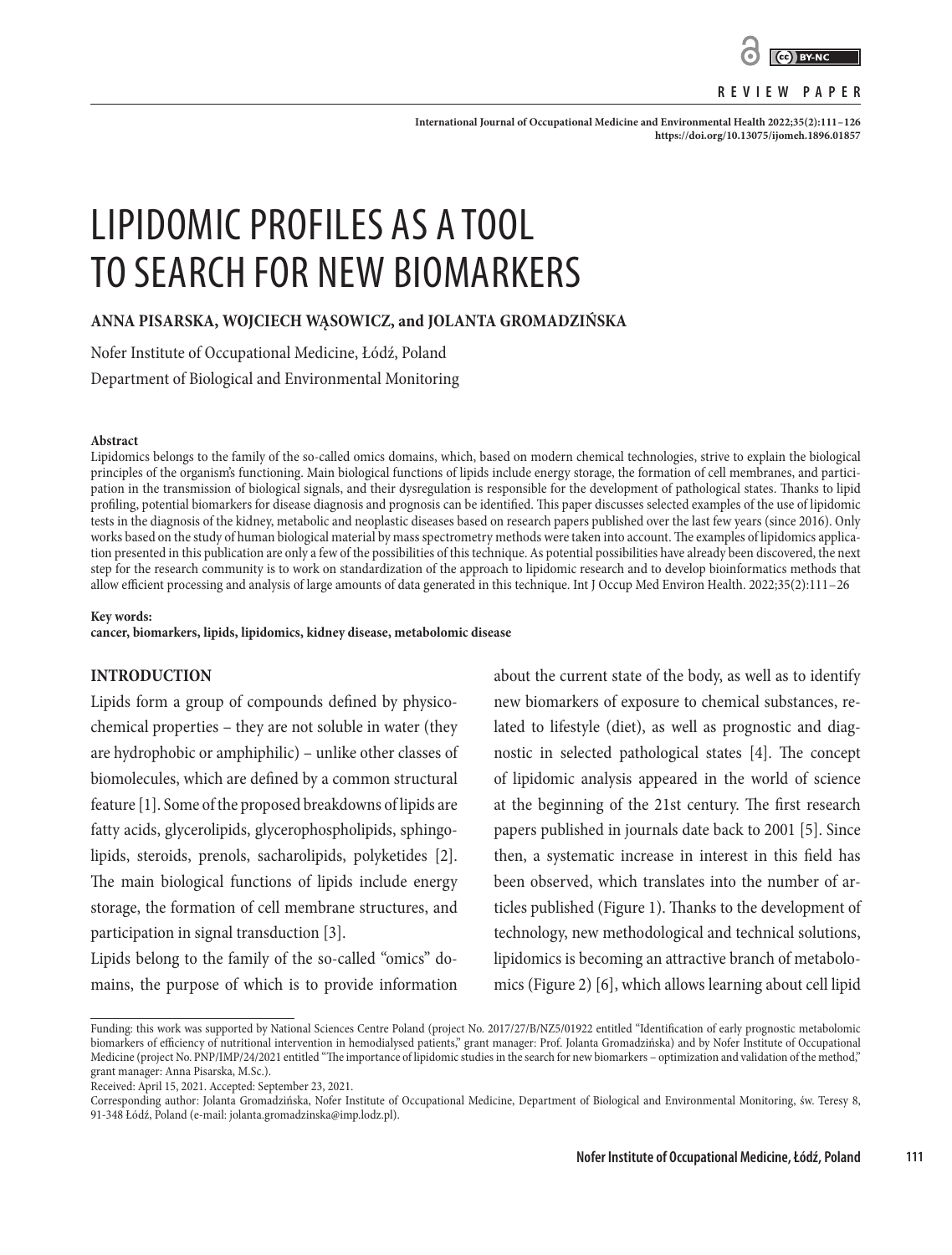

#### **REVIEW PAPER**

**International Journal of Occupational Medicine and Environmental Health 2022;35(2):111–126 <https://doi.org/10.13075/ijomeh.1896.01857>**

# LIPIDOMIC PROFILES AS A TOOL TO SEARCH FOR NEW BIOMARKERS

**ANNA PISARSKA, WOJCIECH WĄSOWICZ, and JOLANTA GROMADZIŃSKA**

Nofer Institute of Occupational Medicine, Łódź, Poland

Department of Biological and Environmental Monitoring

#### **Abstract**

Lipidomics belongs to the family of the so-called omics domains, which, based on modern chemical technologies, strive to explain the biological principles of the organism's functioning. Main biological functions of lipids include energy storage, the formation of cell membranes, and participation in the transmission of biological signals, and their dysregulation is responsible for the development of pathological states. Thanks to lipid profiling, potential biomarkers for disease diagnosis and prognosis can be identified. This paper discusses selected examples of the use of lipidomic tests in the diagnosis of the kidney, metabolic and neoplastic diseases based on research papers published over the last few years (since 2016). Only works based on the study of human biological material by mass spectrometry methods were taken into account. The examples of lipidomics application presented in this publication are only a few of the possibilities of this technique. As potential possibilities have already been discovered, the next step for the research community is to work on standardization of the approach to lipidomic research and to develop bioinformatics methods that allow efficient processing and analysis of large amounts of data generated in this technique. Int J Occup Med Environ Health. 2022;35(2):111–26

#### **Key words:**

**cancer, biomarkers, lipids, lipidomics, kidney disease, metabolomic disease**

# **INTRODUCTION**

Lipids form a group of compounds defined by physicochemical properties – they are not soluble in water (they are hydrophobic or amphiphilic) – unlike other classes of biomolecules, which are defined by a common structural feature [1]. Some of the proposed breakdowns of lipids are fatty acids, glycerolipids, glycerophospholipids, sphingolipids, steroids, prenols, sacharolipids, polyketides [2]. The main biological functions of lipids include energy storage, the formation of cell membrane structures, and participation in signal transduction [3].

Lipids belong to the family of the so-called "omics" domains, the purpose of which is to provide information

about the current state of the body, as well as to identify new biomarkers of exposure to chemical substances, related to lifestyle (diet), as well as prognostic and diagnostic in selected pathological states [4]. The concept of lipidomic analysis appeared in the world of science at the beginning of the 21st century. The first research papers published in journals date back to 2001 [5]. Since then, a systematic increase in interest in this field has been observed, which translates into the number of articles published (Figure 1). Thanks to the development of technology, new methodological and technical solutions, lipidomics is becoming an attractive branch of metabolomics (Figure 2) [6], which allows learning about cell lipid

Funding: this work was supported by National Sciences Centre Poland (project No. 2017/27/B/NZ5/01922 entitled "Identification of early prognostic metabolomic biomarkers of efficiency of nutritional intervention in hemodialysed patients," grant manager: Prof. Jolanta Gromadzińska) and by Nofer Institute of Occupational Medicine (project No. PNP/IMP/24/2021 entitled "The importance of lipidomic studies in the search for new biomarkers – optimization and validation of the method," grant manager: Anna Pisarska, M.Sc.).

Received: April 15, 2021. Accepted: September 23, 2021.

Corresponding author: Jolanta Gromadzińska, Nofer Institute of Occupational Medicine, Department of Biological and Environmental Monitoring, św. Teresy 8, 91-348 Łódź, Poland (e-mail: jolanta.gromadzinska@imp.lodz.pl).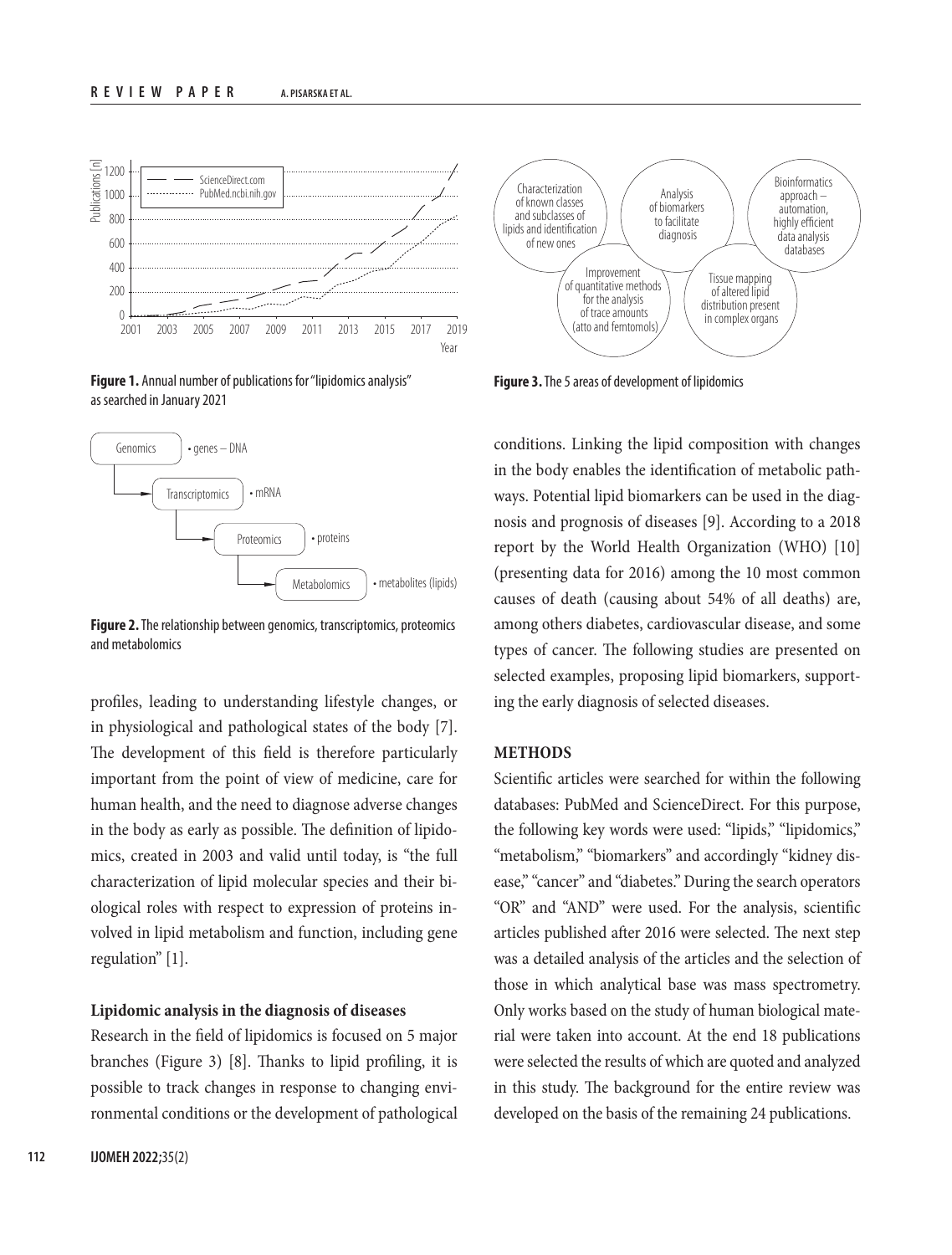

**Figure 1.** Annual number of publications for "lipidomics analysis" as searched in January 2021



**Figure 2.** The relationship between genomics, transcriptomics, proteomics and metabolomics

profiles, leading to understanding lifestyle changes, or in physiological and pathological states of the body [7]. The development of this field is therefore particularly important from the point of view of medicine, care for human health, and the need to diagnose adverse changes in the body as early as possible. The definition of lipidomics, created in 2003 and valid until today, is "the full characterization of lipid molecular species and their biological roles with respect to expression of proteins involved in lipid metabolism and function, including gene regulation" [1].

#### **Lipidomic analysis in the diagnosis of diseases**

Research in the field of lipidomics is focused on 5 major branches (Figure 3) [8]. Thanks to lipid profiling, it is possible to track changes in response to changing environmental conditions or the development of pathological



**Figure 3.** The 5 areas of development of lipidomics

conditions. Linking the lipid composition with changes in the body enables the identification of metabolic pathways. Potential lipid biomarkers can be used in the diagnosis and prognosis of diseases [9]. According to a 2018 report by the World Health Organization (WHO) [10] (presenting data for 2016) among the 10 most common causes of death (causing about 54% of all deaths) are, among others diabetes, cardiovascular disease, and some types of cancer. The following studies are presented on selected examples, proposing lipid biomarkers, supporting the early diagnosis of selected diseases.

## **METHODS**

Scientific articles were searched for within the following databases: PubMed and ScienceDirect. For this purpose, the following key words were used: "lipids," "lipidomics," "metabolism," "biomarkers" and accordingly "kidney disease," "cancer" and "diabetes." During the search operators "OR" and "AND" were used. For the analysis, scientific articles published after 2016 were selected. The next step was a detailed analysis of the articles and the selection of those in which analytical base was mass spectrometry. Only works based on the study of human biological material were taken into account. At the end 18 publications were selected the results of which are quoted and analyzed in this study. The background for the entire review was developed on the basis of the remaining 24 publications.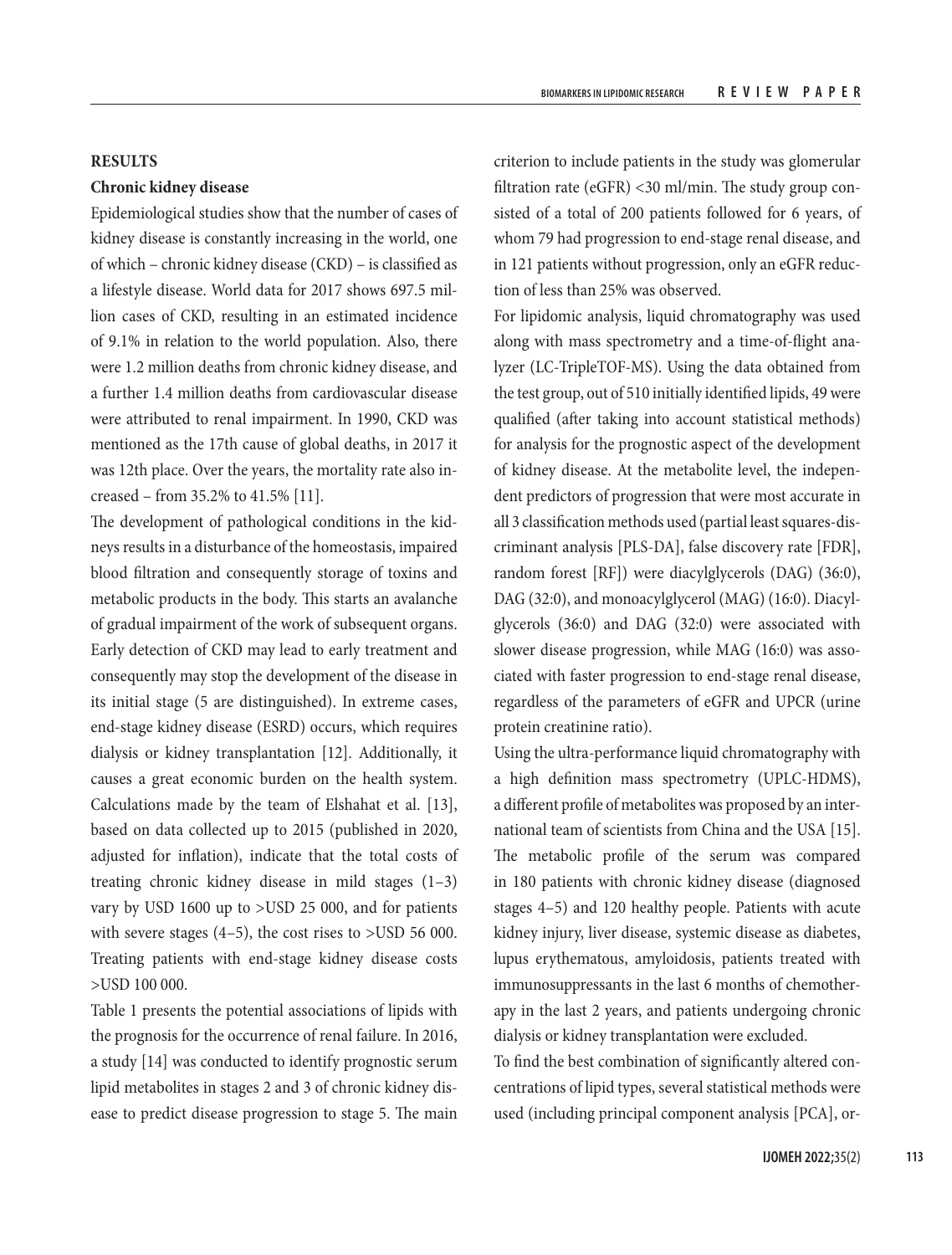## **RESULTS**

## **Chronic kidney disease**

Epidemiological studies show that the number of cases of kidney disease is constantly increasing in the world, one of which – chronic kidney disease (CKD) – is classified as a lifestyle disease. World data for 2017 shows 697.5 million cases of CKD, resulting in an estimated incidence of 9.1% in relation to the world population. Also, there were 1.2 million deaths from chronic kidney disease, and a further 1.4 million deaths from cardiovascular disease were attributed to renal impairment. In 1990, CKD was mentioned as the 17th cause of global deaths, in 2017 it was 12th place. Over the years, the mortality rate also increased – from 35.2% to 41.5% [11].

The development of pathological conditions in the kidneys results in a disturbance of the homeostasis, impaired blood filtration and consequently storage of toxins and metabolic products in the body. This starts an avalanche of gradual impairment of the work of subsequent organs. Early detection of CKD may lead to early treatment and consequently may stop the development of the disease in its initial stage (5 are distinguished). In extreme cases, end-stage kidney disease (ESRD) occurs, which requires dialysis or kidney transplantation [12]. Additionally, it causes a great economic burden on the health system. Calculations made by the team of Elshahat et al. [13], based on data collected up to 2015 (published in 2020, adjusted for inflation), indicate that the total costs of treating chronic kidney disease in mild stages (1–3) vary by USD 1600 up to >USD 25 000, and for patients with severe stages (4–5), the cost rises to >USD 56 000. Treating patients with end-stage kidney disease costs >USD 100 000.

Table 1 presents the potential associations of lipids with the prognosis for the occurrence of renal failure. In 2016, a study [14] was conducted to identify prognostic serum lipid metabolites in stages 2 and 3 of chronic kidney disease to predict disease progression to stage 5. The main

criterion to include patients in the study was glomerular filtration rate (eGFR) <30 ml/min. The study group consisted of a total of 200 patients followed for 6 years, of whom 79 had progression to end-stage renal disease, and in 121 patients without progression, only an eGFR reduction of less than 25% was observed.

For lipidomic analysis, liquid chromatography was used along with mass spectrometry and a time-of-flight analyzer (LC-TripleTOF-MS). Using the data obtained from the test group, out of 510 initially identified lipids, 49 were qualified (after taking into account statistical methods) for analysis for the prognostic aspect of the development of kidney disease. At the metabolite level, the independent predictors of progression that were most accurate in all 3 classification methods used (partial least squares-discriminant analysis [PLS-DA], false discovery rate [FDR], random forest [RF]) were diacylglycerols (DAG) (36:0), DAG (32:0), and monoacylglycerol (MAG) (16:0). Diacylglycerols (36:0) and DAG (32:0) were associated with slower disease progression, while MAG (16:0) was associated with faster progression to end-stage renal disease, regardless of the parameters of eGFR and UPCR (urine protein creatinine ratio).

Using the ultra-performance liquid chromatography with a high definition mass spectrometry (UPLC-HDMS), a different profile of metabolites was proposed by an international team of scientists from China and the USA [15]. The metabolic profile of the serum was compared in 180 patients with chronic kidney disease (diagnosed stages 4–5) and 120 healthy people. Patients with acute kidney injury, liver disease, systemic disease as diabetes, lupus erythematous, amyloidosis, patients treated with immunosuppressants in the last 6 months of chemotherapy in the last 2 years, and patients undergoing chronic dialysis or kidney transplantation were excluded.

To find the best combination of significantly altered concentrations of lipid types, several statistical methods were used (including principal component analysis [PCA], or-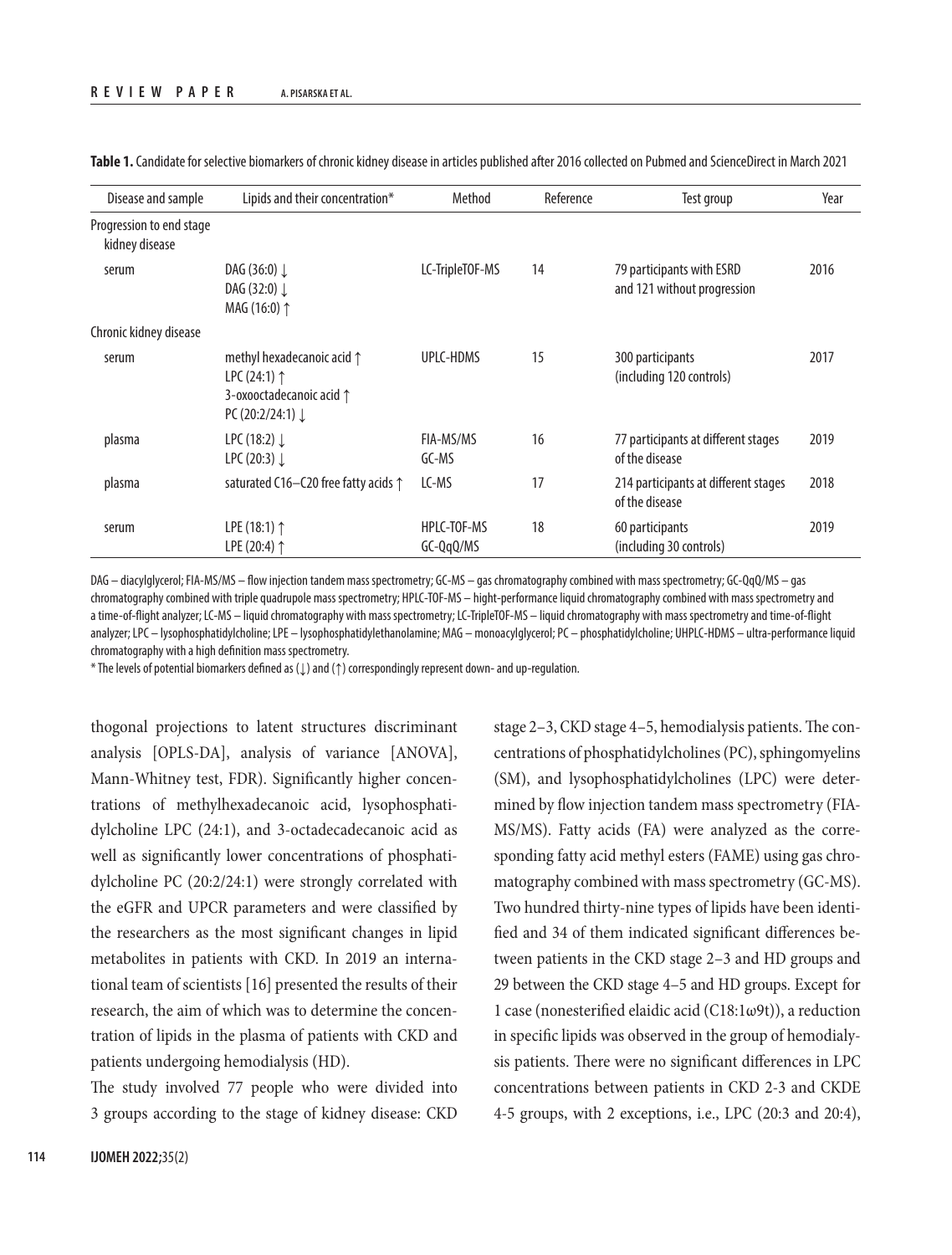| Disease and sample                         | Lipids and their concentration*                                                                                           | Method                     | Reference | Test group                                               | Year |
|--------------------------------------------|---------------------------------------------------------------------------------------------------------------------------|----------------------------|-----------|----------------------------------------------------------|------|
| Progression to end stage<br>kidney disease |                                                                                                                           |                            |           |                                                          |      |
| serum                                      | DAG (36:0) $\downarrow$<br>DAG $(32:0)$<br>MAG (16:0) 1                                                                   | LC-TripleTOF-MS            | 14        | 79 participants with ESRD<br>and 121 without progression | 2016 |
| Chronic kidney disease                     |                                                                                                                           |                            |           |                                                          |      |
| serum                                      | methyl hexadecanoic acid 1<br>LPC $(24:1)$ $\uparrow$<br>3-oxooctadecanoic acid $\uparrow$<br>PC (20:2/24:1) $\downarrow$ | UPLC-HDMS                  | 15        | 300 participants<br>(including 120 controls)             | 2017 |
| plasma                                     | LPC $(18:2)$<br>LPC $(20:3)$                                                                                              | FIA-MS/MS<br>GC-MS         | 16        | 77 participants at different stages<br>of the disease    | 2019 |
| plasma                                     | saturated C16-C20 free fatty acids 1                                                                                      | LC-MS                      | 17        | 214 participants at different stages<br>of the disease   | 2018 |
| serum                                      | LPE $(18:1)$ <sup><math>\uparrow</math></sup><br>LPE (20:4) $\uparrow$                                                    | HPLC-TOF-MS<br>$GC-QqQ/MS$ | 18        | 60 participants<br>(including 30 controls)               | 2019 |

**Table 1.** Candidate for selective biomarkers of chronic kidney disease in articles published after 2016 collected on Pubmed and ScienceDirect in March 2021

DAG – diacylglycerol; FIA-MS/MS – flow injection tandem mass spectrometry; GC-MS – gas chromatography combined with mass spectrometry; GC-QqQ/MS – gas chromatography combined with triple quadrupole mass spectrometry; HPLC-TOF-MS – hight-performance liquid chromatography combined with mass spectrometry and a time-of-flight analyzer; LC-MS – liquid chromatography with mass spectrometry; LC-TripleTOF-MS – liquid chromatography with mass spectrometry and time-of-flight analyzer; LPC – lysophosphatidylcholine; LPE – lysophosphatidylethanolamine; MAG – monoacylqlycerol; PC – phosphatidylcholine; UHPLC-HDMS – ultra-performance liquid chromatography with a high definition mass spectrometry.

\* The levels of potential biomarkers defined as (↓) and (↑) correspondingly represent down- and up-regulation.

thogonal projections to latent structures discriminant analysis [OPLS-DA], analysis of variance [ANOVA], Mann-Whitney test, FDR). Significantly higher concentrations of methylhexadecanoic acid, lysophosphatidylcholine LPC (24:1), and 3-octadecadecanoic acid as well as significantly lower concentrations of phosphatidylcholine PC (20:2/24:1) were strongly correlated with the eGFR and UPCR parameters and were classified by the researchers as the most significant changes in lipid metabolites in patients with CKD. In 2019 an international team of scientists [16] presented the results of their research, the aim of which was to determine the concentration of lipids in the plasma of patients with CKD and patients undergoing hemodialysis (HD).

The study involved 77 people who were divided into 3 groups according to the stage of kidney disease: CKD stage 2–3, CKD stage 4–5, hemodialysis patients. The concentrations of phosphatidylcholines (PC), sphingomyelins (SM), and lysophosphatidylcholines (LPC) were determined by flow injection tandem mass spectrometry (FIA-MS/MS). Fatty acids (FA) were analyzed as the corresponding fatty acid methyl esters (FAME) using gas chromatography combined with mass spectrometry (GC-MS). Two hundred thirty-nine types of lipids have been identified and 34 of them indicated significant differences between patients in the CKD stage 2–3 and HD groups and 29 between the CKD stage 4–5 and HD groups. Except for 1 case (nonesterified elaidic acid (C18:1ω9t)), a reduction in specific lipids was observed in the group of hemodialysis patients. There were no significant differences in LPC concentrations between patients in CKD 2-3 and CKDE 4-5 groups, with 2 exceptions, i.e., LPC (20:3 and 20:4),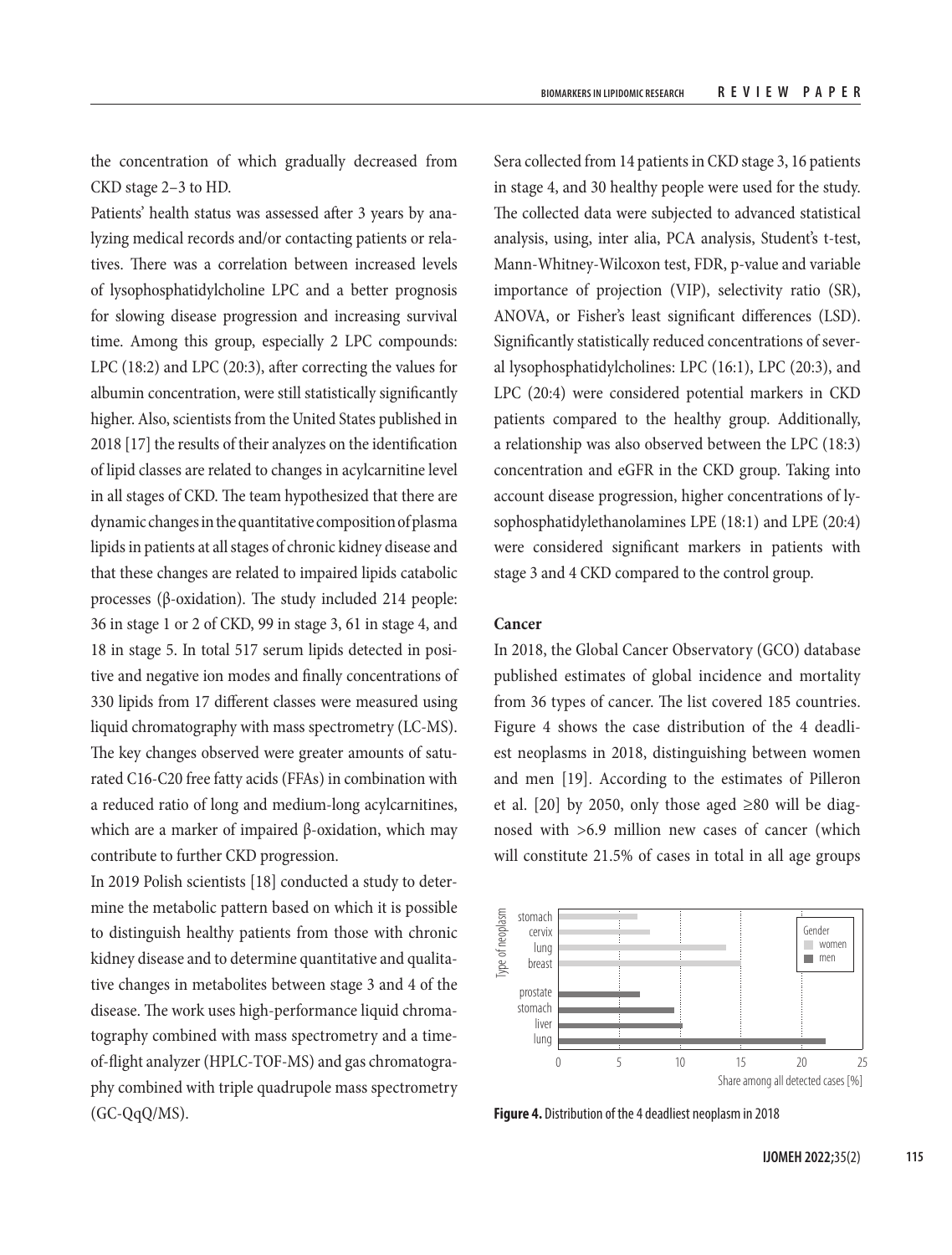the concentration of which gradually decreased from CKD stage 2–3 to HD.

Patients' health status was assessed after 3 years by analyzing medical records and/or contacting patients or relatives. There was a correlation between increased levels of lysophosphatidylcholine LPC and a better prognosis for slowing disease progression and increasing survival time. Among this group, especially 2 LPC compounds: LPC (18:2) and LPC (20:3), after correcting the values for albumin concentration, were still statistically significantly higher. Also, scientists from the United States published in 2018 [17] the results of their analyzes on the identification of lipid classes are related to changes in acylcarnitine level in all stages of CKD. The team hypothesized that there are dynamic changes in the quantitative composition of plasma lipids in patients at all stages of chronic kidney disease and that these changes are related to impaired lipids catabolic processes (β-oxidation). The study included 214 people: 36 in stage 1 or 2 of CKD, 99 in stage 3, 61 in stage 4, and 18 in stage 5. In total 517 serum lipids detected in positive and negative ion modes and finally concentrations of 330 lipids from 17 different classes were measured using liquid chromatography with mass spectrometry (LC-MS). The key changes observed were greater amounts of saturated C16-C20 free fatty acids (FFAs) in combination with a reduced ratio of long and medium-long acylcarnitines, which are a marker of impaired β-oxidation, which may contribute to further CKD progression.

In 2019 Polish scientists [18] conducted a study to determine the metabolic pattern based on which it is possible to distinguish healthy patients from those with chronic kidney disease and to determine quantitative and qualitative changes in metabolites between stage 3 and 4 of the disease. The work uses high-performance liquid chromatography combined with mass spectrometry and a timeof-flight analyzer (HPLC-TOF-MS) and gas chromatography combined with triple quadrupole mass spectrometry (GC-QqQ/MS).

Sera collected from 14 patients in CKD stage 3, 16 patients in stage 4, and 30 healthy people were used for the study. The collected data were subjected to advanced statistical analysis, using, inter alia, PCA analysis, Student's t-test, Mann-Whitney-Wilcoxon test, FDR, p-value and variable importance of projection (VIP), selectivity ratio (SR), ANOVA, or Fisher's least significant differences (LSD). Significantly statistically reduced concentrations of several lysophosphatidylcholines: LPC (16:1), LPC (20:3), and LPC (20:4) were considered potential markers in CKD patients compared to the healthy group. Additionally, a relationship was also observed between the LPC (18:3) concentration and eGFR in the CKD group. Taking into account disease progression, higher concentrations of lysophosphatidylethanolamines LPE (18:1) and LPE (20:4) were considered significant markers in patients with stage 3 and 4 CKD compared to the control group.

# **Cancer**

In 2018, the Global Cancer Observatory (GCO) database published estimates of global incidence and mortality from 36 types of cancer. The list covered 185 countries. Figure 4 shows the case distribution of the 4 deadliest neoplasms in 2018, distinguishing between women and men [19]. According to the estimates of Pilleron et al.  $[20]$  by 2050, only those aged ≥80 will be diagnosed with >6.9 million new cases of cancer (which will constitute 21.5% of cases in total in all age groups



**Figure 4.** Distribution of the 4 deadliest neoplasm in 2018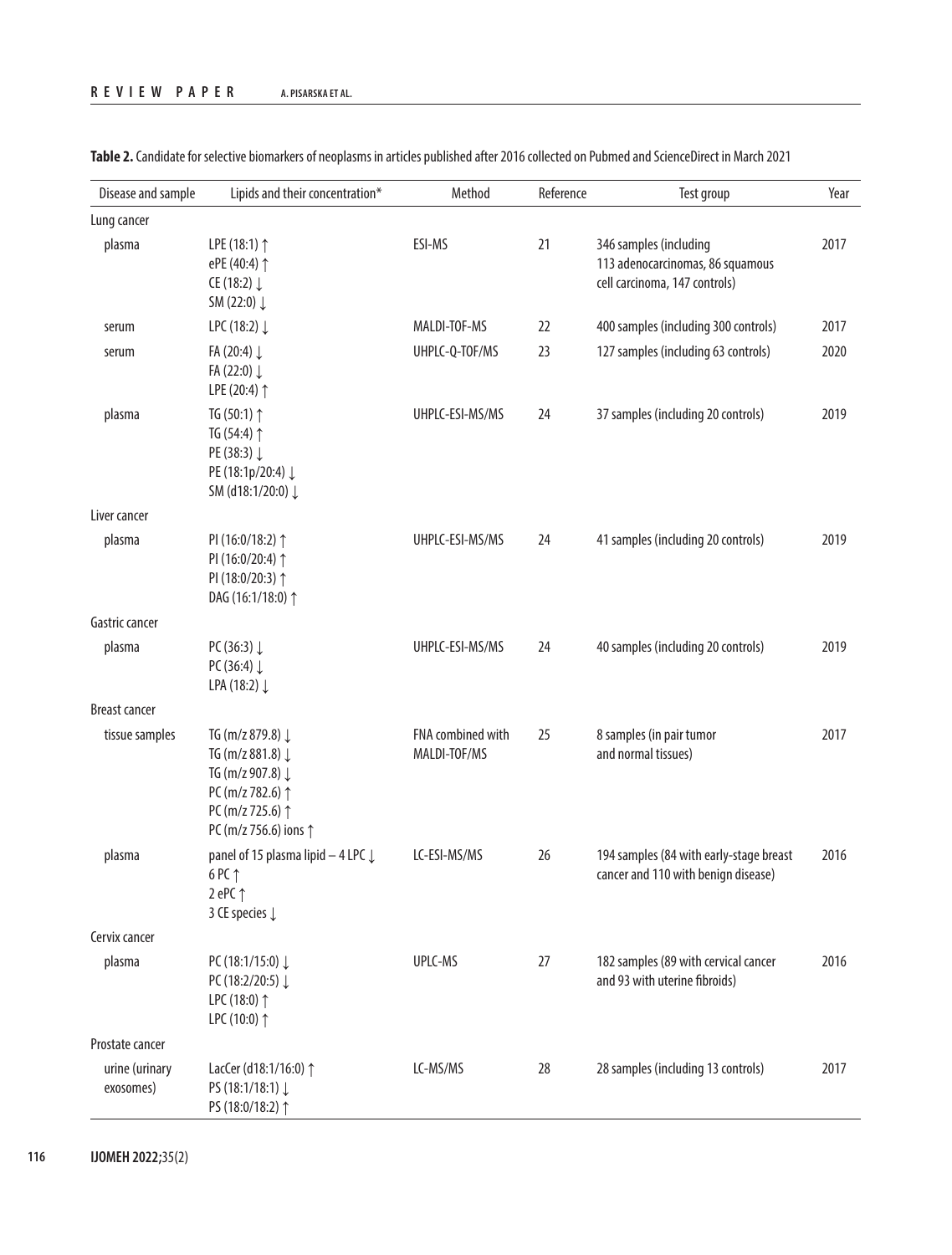| Disease and sample          | Lipids and their concentration*                                                                                           | Method                            | Reference | Test group                                                                                  | Year |
|-----------------------------|---------------------------------------------------------------------------------------------------------------------------|-----------------------------------|-----------|---------------------------------------------------------------------------------------------|------|
| Lung cancer                 |                                                                                                                           |                                   |           |                                                                                             |      |
| plasma                      | LPE (18:1) 1<br>ePE (40:4) 1<br>CE (18:2) $\downarrow$<br>SM (22:0) $\downarrow$                                          | ESI-MS                            | 21        | 346 samples (including<br>113 adenocarcinomas, 86 squamous<br>cell carcinoma, 147 controls) | 2017 |
| serum                       | LPC (18:2) ↓                                                                                                              | MALDI-TOF-MS                      | 22        | 400 samples (including 300 controls)                                                        | 2017 |
| serum                       | FA (20:4) $\downarrow$<br>FA (22:0) $\downarrow$<br>LPE (20:4) 1                                                          | UHPLC-Q-TOF/MS                    | 23        | 127 samples (including 63 controls)                                                         | 2020 |
| plasma                      | TG $(50:1)$ $\uparrow$<br>TG (54:4) 1<br>PE (38:3) ↓<br>PE (18:1p/20:4) ↓<br>SM (d18:1/20:0) ↓                            | UHPLC-ESI-MS/MS                   | 24        | 37 samples (including 20 controls)                                                          | 2019 |
| Liver cancer                |                                                                                                                           |                                   |           |                                                                                             |      |
| plasma                      | PI (16:0/18:2) 1<br>PI (16:0/20:4) 1<br>PI (18:0/20:3) 1<br>DAG (16:1/18:0) 1                                             | UHPLC-ESI-MS/MS                   | 24        | 41 samples (including 20 controls)                                                          | 2019 |
| Gastric cancer              |                                                                                                                           |                                   |           |                                                                                             |      |
| plasma                      | PC (36:3) $\downarrow$<br>PC (36:4) $\downarrow$<br>LPA (18:2) ↓                                                          | UHPLC-ESI-MS/MS                   | 24        | 40 samples (including 20 controls)                                                          | 2019 |
| <b>Breast cancer</b>        |                                                                                                                           |                                   |           |                                                                                             |      |
| tissue samples              | TG (m/z 879.8) ↓<br>TG (m/z 881.8) ↓<br>TG (m/z 907.8) ↓<br>PC (m/z 782.6) 1<br>PC (m/z 725.6) 1<br>PC (m/z 756.6) ions 1 | FNA combined with<br>MALDI-TOF/MS | 25        | 8 samples (in pair tumor<br>and normal tissues)                                             | 2017 |
| plasma                      | panel of 15 plasma lipid $-$ 4 LPC $\downarrow$<br>6 PC 1<br>2 ePC $\uparrow$<br>3 CE species $\downarrow$                | LC-ESI-MS/MS                      | 26        | 194 samples (84 with early-stage breast<br>cancer and 110 with benign disease)              | 2016 |
| Cervix cancer               |                                                                                                                           |                                   |           |                                                                                             |      |
| plasma                      | PC (18:1/15:0) $\downarrow$<br>PC (18:2/20:5) ↓<br>LPC (18:0) 1<br>LPC (10:0) 1                                           | UPLC-MS                           | 27        | 182 samples (89 with cervical cancer<br>and 93 with uterine fibroids)                       | 2016 |
| Prostate cancer             |                                                                                                                           |                                   |           |                                                                                             |      |
| urine (urinary<br>exosomes) | LacCer (d18:1/16:0) 1<br>PS (18:1/18:1) ↓<br>PS (18:0/18:2) 1                                                             | LC-MS/MS                          | 28        | 28 samples (including 13 controls)                                                          | 2017 |

**Table 2.** Candidate for selective biomarkers of neoplasms in articles published after 2016 collected on Pubmed and ScienceDirect in March 2021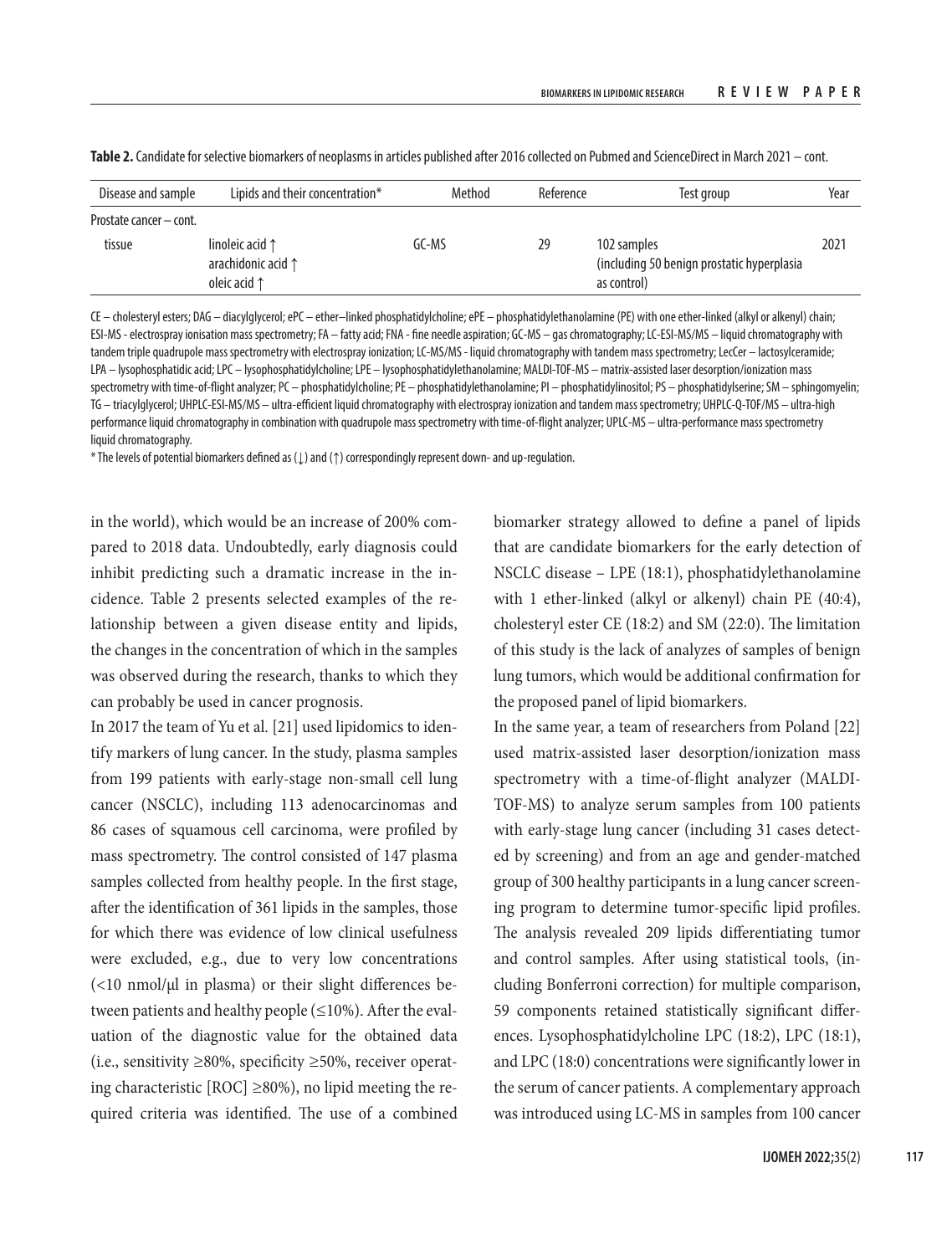| Disease and sample      | Lipids and their concentration*                                         | Method | Reference | Test group                                                               | Year |
|-------------------------|-------------------------------------------------------------------------|--------|-----------|--------------------------------------------------------------------------|------|
| Prostate cancer – cont. |                                                                         |        |           |                                                                          |      |
| tissue                  | linoleic acid $\uparrow$<br>arachidonic acid 1<br>oleic acid $\uparrow$ | GC-MS  | 29        | 102 samples<br>(including 50 benign prostatic hyperplasia<br>as control) | 2021 |

**Table 2.** Candidate for selective biomarkers of neoplasms in articles published after 2016 collected on Pubmed and ScienceDirect in March 2021 – cont.

CE – cholesteryl esters; DAG – diacylglycerol; ePC – ether–linked phosphatidylcholine; ePE – phosphatidylethanolamine (PE) with one ether-linked (alkyl or alkenyl) chain; ESI-MS - electrospray ionisation mass spectrometry; FA – fatty acid; FNA - fine needle aspiration; GC-MS – gas chromatography; LC-ESI-MS/MS – liquid chromatography with tandem triple quadrupole mass spectrometry with electrospray ionization; LC-MS/MS - liquid chromatography with tandem mass spectrometry; LecCer – lactosylceramide; LPA – lysophosphatidic acid; LPC – lysophosphatidylcholine; LPE – lysophosphatidylethanolamine; MALDI-TOF-MS – matrix-assisted laser desorption/ionization mass spectrometry with time-of-flight analyzer; PC – phosphatidylcholine; PE – phosphatidylethanolamine; PI – phosphatidylinositol; PS – phosphatidylserine; SM – sphingomyelin; TG – triacylglycerol; UHPLC-ESI-MS/MS – ultra-efficient liquid chromatography with electrospray ionization and tandem mass spectrometry; UHPLC-Q-TOF/MS – ultra-high performance liquid chromatography in combination with quadrupole mass spectrometry with time-of-flight analyzer; UPLC-MS – ultra-performance mass spectrometry liquid chromatography.

\* The levels of potential biomarkers defined as (↓) and (↑) correspondingly represent down- and up-regulation.

in the world), which would be an increase of 200% compared to 2018 data. Undoubtedly, early diagnosis could inhibit predicting such a dramatic increase in the incidence. Table 2 presents selected examples of the relationship between a given disease entity and lipids, the changes in the concentration of which in the samples was observed during the research, thanks to which they can probably be used in cancer prognosis.

In 2017 the team of Yu et al. [21] used lipidomics to identify markers of lung cancer. In the study, plasma samples from 199 patients with early-stage non-small cell lung cancer (NSCLC), including 113 adenocarcinomas and 86 cases of squamous cell carcinoma, were profiled by mass spectrometry. The control consisted of 147 plasma samples collected from healthy people. In the first stage, after the identification of 361 lipids in the samples, those for which there was evidence of low clinical usefulness were excluded, e.g., due to very low concentrations  $\left($  <10 nmol/ $\mu$ l in plasma) or their slight differences between patients and healthy people  $(\leq 10\%)$ . After the evaluation of the diagnostic value for the obtained data (i.e., sensitivity  $\geq 80\%$ , specificity  $\geq 50\%$ , receiver operating characteristic [ROC] ≥80%), no lipid meeting the required criteria was identified. The use of a combined

biomarker strategy allowed to define a panel of lipids that are candidate biomarkers for the early detection of NSCLC disease – LPE (18:1), phosphatidylethanolamine with 1 ether-linked (alkyl or alkenyl) chain PE (40:4), cholesteryl ester CE (18:2) and SM (22:0). The limitation of this study is the lack of analyzes of samples of benign lung tumors, which would be additional confirmation for the proposed panel of lipid biomarkers.

In the same year, a team of researchers from Poland [22] used matrix-assisted laser desorption/ionization mass spectrometry with a time-of-flight analyzer (MALDI-TOF-MS) to analyze serum samples from 100 patients with early-stage lung cancer (including 31 cases detected by screening) and from an age and gender-matched group of 300 healthy participants in a lung cancer screening program to determine tumor-specific lipid profiles. The analysis revealed 209 lipids differentiating tumor and control samples. After using statistical tools, (including Bonferroni correction) for multiple comparison, 59 components retained statistically significant differences. Lysophosphatidylcholine LPC (18:2), LPC (18:1), and LPC (18:0) concentrations were significantly lower in the serum of cancer patients. A complementary approach was introduced using LC-MS in samples from 100 cancer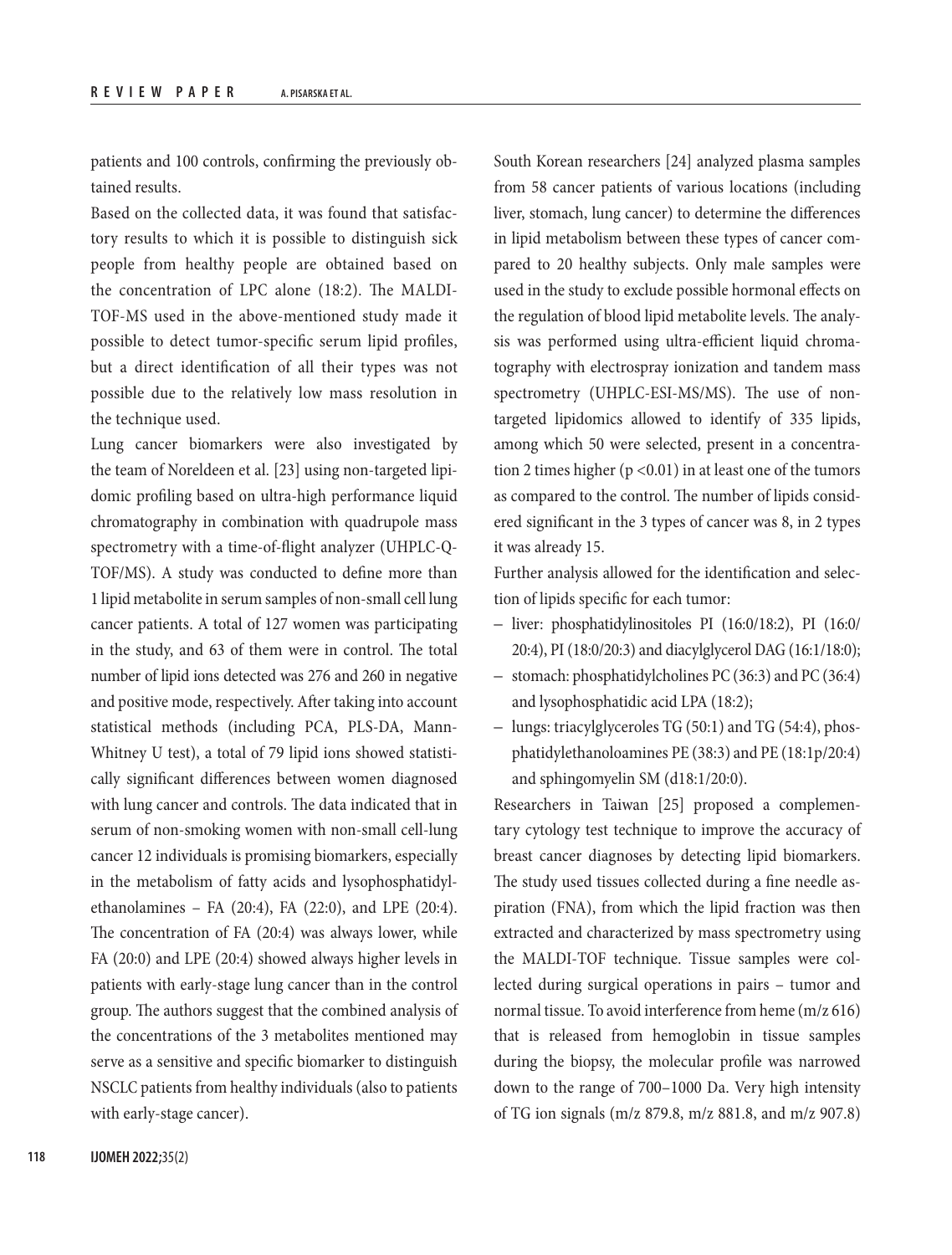patients and 100 controls, confirming the previously obtained results.

Based on the collected data, it was found that satisfactory results to which it is possible to distinguish sick people from healthy people are obtained based on the concentration of LPC alone (18:2). The MALDI-TOF-MS used in the above-mentioned study made it possible to detect tumor-specific serum lipid profiles, but a direct identification of all their types was not possible due to the relatively low mass resolution in the technique used.

Lung cancer biomarkers were also investigated by the team of Noreldeen et al. [23] using non-targeted lipidomic profiling based on ultra-high performance liquid chromatography in combination with quadrupole mass spectrometry with a time-of-flight analyzer (UHPLC-Q-TOF/MS). A study was conducted to define more than 1 lipid metabolite in serum samples of non-small cell lung cancer patients. A total of 127 women was participating in the study, and 63 of them were in control. The total number of lipid ions detected was 276 and 260 in negative and positive mode, respectively. After taking into account statistical methods (including PCA, PLS-DA, Mann-Whitney U test), a total of 79 lipid ions showed statistically significant differences between women diagnosed with lung cancer and controls. The data indicated that in serum of non-smoking women with non-small cell-lung cancer 12 individuals is promising biomarkers, especially in the metabolism of fatty acids and lysophosphatidylethanolamines – FA (20:4), FA (22:0), and LPE (20:4). The concentration of FA (20:4) was always lower, while FA (20:0) and LPE (20:4) showed always higher levels in patients with early-stage lung cancer than in the control group. The authors suggest that the combined analysis of the concentrations of the 3 metabolites mentioned may serve as a sensitive and specific biomarker to distinguish NSCLC patients from healthy individuals (also to patients with early-stage cancer).

South Korean researchers [24] analyzed plasma samples from 58 cancer patients of various locations (including liver, stomach, lung cancer) to determine the differences in lipid metabolism between these types of cancer compared to 20 healthy subjects. Only male samples were used in the study to exclude possible hormonal effects on the regulation of blood lipid metabolite levels. The analysis was performed using ultra-efficient liquid chromatography with electrospray ionization and tandem mass spectrometry (UHPLC-ESI-MS/MS). The use of nontargeted lipidomics allowed to identify of 335 lipids, among which 50 were selected, present in a concentration 2 times higher ( $p < 0.01$ ) in at least one of the tumors as compared to the control. The number of lipids considered significant in the 3 types of cancer was 8, in 2 types it was already 15.

Further analysis allowed for the identification and selection of lipids specific for each tumor:

- liver: phosphatidylinositoles PI (16:0/18:2), PI (16:0/ 20:4), PI (18:0/20:3) and diacylglycerol DAG (16:1/18:0);
- stomach: phosphatidylcholines PC (36:3) and PC (36:4) and lysophosphatidic acid LPA (18:2);
- lungs: triacylglyceroles TG (50:1) and TG (54:4), phosphatidylethanoloamines PE (38:3) and PE (18:1p/20:4) and sphingomyelin SM (d18:1/20:0).

Researchers in Taiwan [25] proposed a complementary cytology test technique to improve the accuracy of breast cancer diagnoses by detecting lipid biomarkers. The study used tissues collected during a fine needle aspiration (FNA), from which the lipid fraction was then extracted and characterized by mass spectrometry using the MALDI-TOF technique. Tissue samples were collected during surgical operations in pairs – tumor and normal tissue. To avoid interference from heme (m/z 616) that is released from hemoglobin in tissue samples during the biopsy, the molecular profile was narrowed down to the range of 700–1000 Da. Very high intensity of TG ion signals (m/z 879.8, m/z 881.8, and m/z 907.8)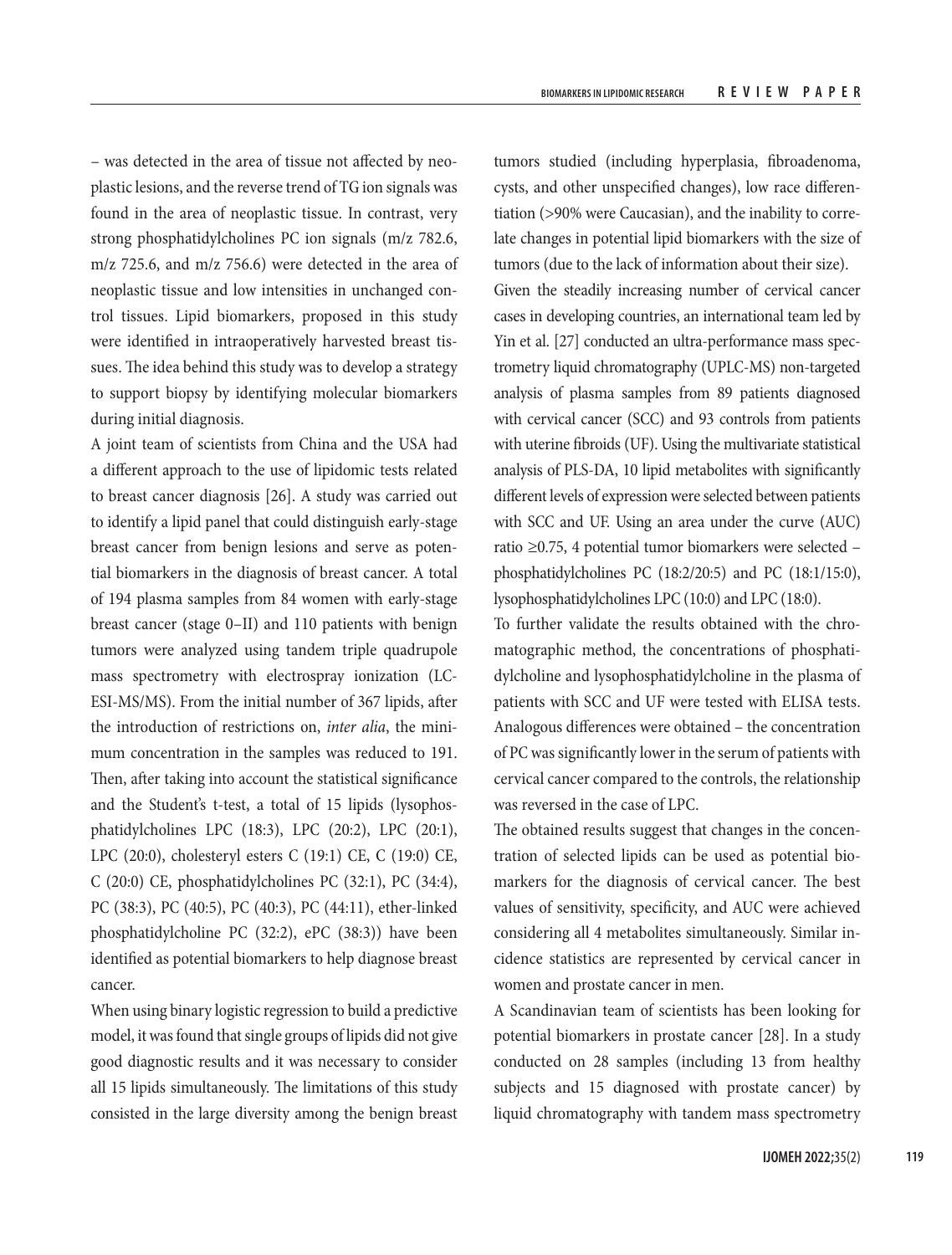– was detected in the area of tissue not affected by neoplastic lesions, and the reverse trend of TG ion signals was found in the area of neoplastic tissue. In contrast, very strong phosphatidylcholines PC ion signals (m/z 782.6, m/z 725.6, and m/z 756.6) were detected in the area of neoplastic tissue and low intensities in unchanged control tissues. Lipid biomarkers, proposed in this study were identified in intraoperatively harvested breast tissues. The idea behind this study was to develop a strategy to support biopsy by identifying molecular biomarkers during initial diagnosis.

A joint team of scientists from China and the USA had a different approach to the use of lipidomic tests related to breast cancer diagnosis [26]. A study was carried out to identify a lipid panel that could distinguish early-stage breast cancer from benign lesions and serve as potential biomarkers in the diagnosis of breast cancer. A total of 194 plasma samples from 84 women with early-stage breast cancer (stage 0–II) and 110 patients with benign tumors were analyzed using tandem triple quadrupole mass spectrometry with electrospray ionization (LC-ESI-MS/MS). From the initial number of 367 lipids, after the introduction of restrictions on, *inter alia*, the minimum concentration in the samples was reduced to 191. Then, after taking into account the statistical significance and the Student's t-test, a total of 15 lipids (lysophosphatidylcholines LPC (18:3), LPC (20:2), LPC (20:1), LPC (20:0), cholesteryl esters C (19:1) CE, C (19:0) CE, C (20:0) CE, phosphatidylcholines PC (32:1), PC (34:4), PC (38:3), PC (40:5), PC (40:3), PC (44:11), ether-linked phosphatidylcholine PC (32:2), ePC (38:3)) have been identified as potential biomarkers to help diagnose breast cancer.

When using binary logistic regression to build a predictive model, it was found that single groups of lipids did not give good diagnostic results and it was necessary to consider all 15 lipids simultaneously. The limitations of this study consisted in the large diversity among the benign breast

tumors studied (including hyperplasia, fibroadenoma, cysts, and other unspecified changes), low race differentiation (>90% were Caucasian), and the inability to correlate changes in potential lipid biomarkers with the size of tumors (due to the lack of information about their size). Given the steadily increasing number of cervical cancer cases in developing countries, an international team led by Yin et al. [27] conducted an ultra-performance mass spectrometry liquid chromatography (UPLC-MS) non-targeted analysis of plasma samples from 89 patients diagnosed with cervical cancer (SCC) and 93 controls from patients with uterine fibroids (UF). Using the multivariate statistical analysis of PLS-DA, 10 lipid metabolites with significantly different levels of expression were selected between patients with SCC and UF. Using an area under the curve (AUC) ratio ≥0.75, 4 potential tumor biomarkers were selected – phosphatidylcholines PC (18:2/20:5) and PC (18:1/15:0), lysophosphatidylcholines LPC (10:0) and LPC (18:0).

To further validate the results obtained with the chromatographic method, the concentrations of phosphatidylcholine and lysophosphatidylcholine in the plasma of patients with SCC and UF were tested with ELISA tests. Analogous differences were obtained – the concentration of PC was significantly lower in the serum of patients with cervical cancer compared to the controls, the relationship was reversed in the case of LPC.

The obtained results suggest that changes in the concentration of selected lipids can be used as potential biomarkers for the diagnosis of cervical cancer. The best values of sensitivity, specificity, and AUC were achieved considering all 4 metabolites simultaneously. Similar incidence statistics are represented by cervical cancer in women and prostate cancer in men.

A Scandinavian team of scientists has been looking for potential biomarkers in prostate cancer [28]. In a study conducted on 28 samples (including 13 from healthy subjects and 15 diagnosed with prostate cancer) by liquid chromatography with tandem mass spectrometry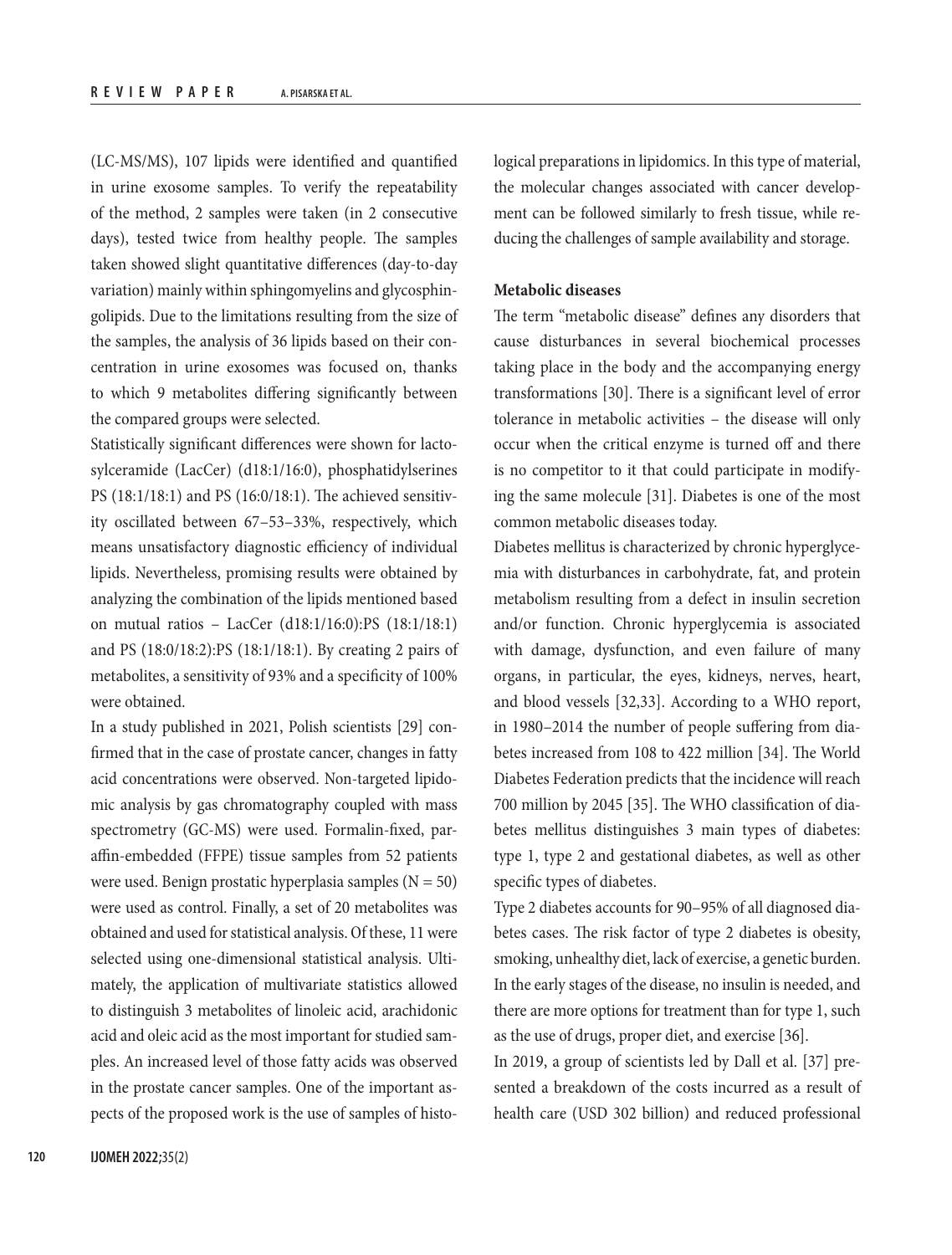(LC-MS/MS), 107 lipids were identified and quantified in urine exosome samples. To verify the repeatability of the method, 2 samples were taken (in 2 consecutive days), tested twice from healthy people. The samples taken showed slight quantitative differences (day-to-day variation) mainly within sphingomyelins and glycosphingolipids. Due to the limitations resulting from the size of the samples, the analysis of 36 lipids based on their concentration in urine exosomes was focused on, thanks to which 9 metabolites differing significantly between the compared groups were selected.

Statistically significant differences were shown for lactosylceramide (LacCer) (d18:1/16:0), phosphatidylserines PS (18:1/18:1) and PS (16:0/18:1). The achieved sensitivity oscillated between 67–53–33%, respectively, which means unsatisfactory diagnostic efficiency of individual lipids. Nevertheless, promising results were obtained by analyzing the combination of the lipids mentioned based on mutual ratios – LacCer (d18:1/16:0):PS (18:1/18:1) and PS (18:0/18:2):PS (18:1/18:1). By creating 2 pairs of metabolites, a sensitivity of 93% and a specificity of 100% were obtained.

In a study published in 2021, Polish scientists [29] confirmed that in the case of prostate cancer, changes in fatty acid concentrations were observed. Non-targeted lipidomic analysis by gas chromatography coupled with mass spectrometry (GC-MS) were used. Formalin-fixed, paraffin-embedded (FFPE) tissue samples from 52 patients were used. Benign prostatic hyperplasia samples  $(N = 50)$ were used as control. Finally, a set of 20 metabolites was obtained and used for statistical analysis. Of these, 11 were selected using one-dimensional statistical analysis. Ultimately, the application of multivariate statistics allowed to distinguish 3 metabolites of linoleic acid, arachidonic acid and oleic acid as the most important for studied samples. An increased level of those fatty acids was observed in the prostate cancer samples. One of the important aspects of the proposed work is the use of samples of histological preparations in lipidomics. In this type of material, the molecular changes associated with cancer development can be followed similarly to fresh tissue, while reducing the challenges of sample availability and storage.

## **Metabolic diseases**

The term "metabolic disease" defines any disorders that cause disturbances in several biochemical processes taking place in the body and the accompanying energy transformations [30]. There is a significant level of error tolerance in metabolic activities – the disease will only occur when the critical enzyme is turned off and there is no competitor to it that could participate in modifying the same molecule [31]. Diabetes is one of the most common metabolic diseases today.

Diabetes mellitus is characterized by chronic hyperglycemia with disturbances in carbohydrate, fat, and protein metabolism resulting from a defect in insulin secretion and/or function. Chronic hyperglycemia is associated with damage, dysfunction, and even failure of many organs, in particular, the eyes, kidneys, nerves, heart, and blood vessels [32,33]. According to a WHO report, in 1980–2014 the number of people suffering from diabetes increased from 108 to 422 million [34]. The World Diabetes Federation predicts that the incidence will reach 700 million by 2045 [35]. The WHO classification of diabetes mellitus distinguishes 3 main types of diabetes: type 1, type 2 and gestational diabetes, as well as other specific types of diabetes.

Type 2 diabetes accounts for 90–95% of all diagnosed diabetes cases. The risk factor of type 2 diabetes is obesity, smoking, unhealthy diet, lack of exercise, a genetic burden. In the early stages of the disease, no insulin is needed, and there are more options for treatment than for type 1, such as the use of drugs, proper diet, and exercise [36].

In 2019, a group of scientists led by Dall et al. [37] presented a breakdown of the costs incurred as a result of health care (USD 302 billion) and reduced professional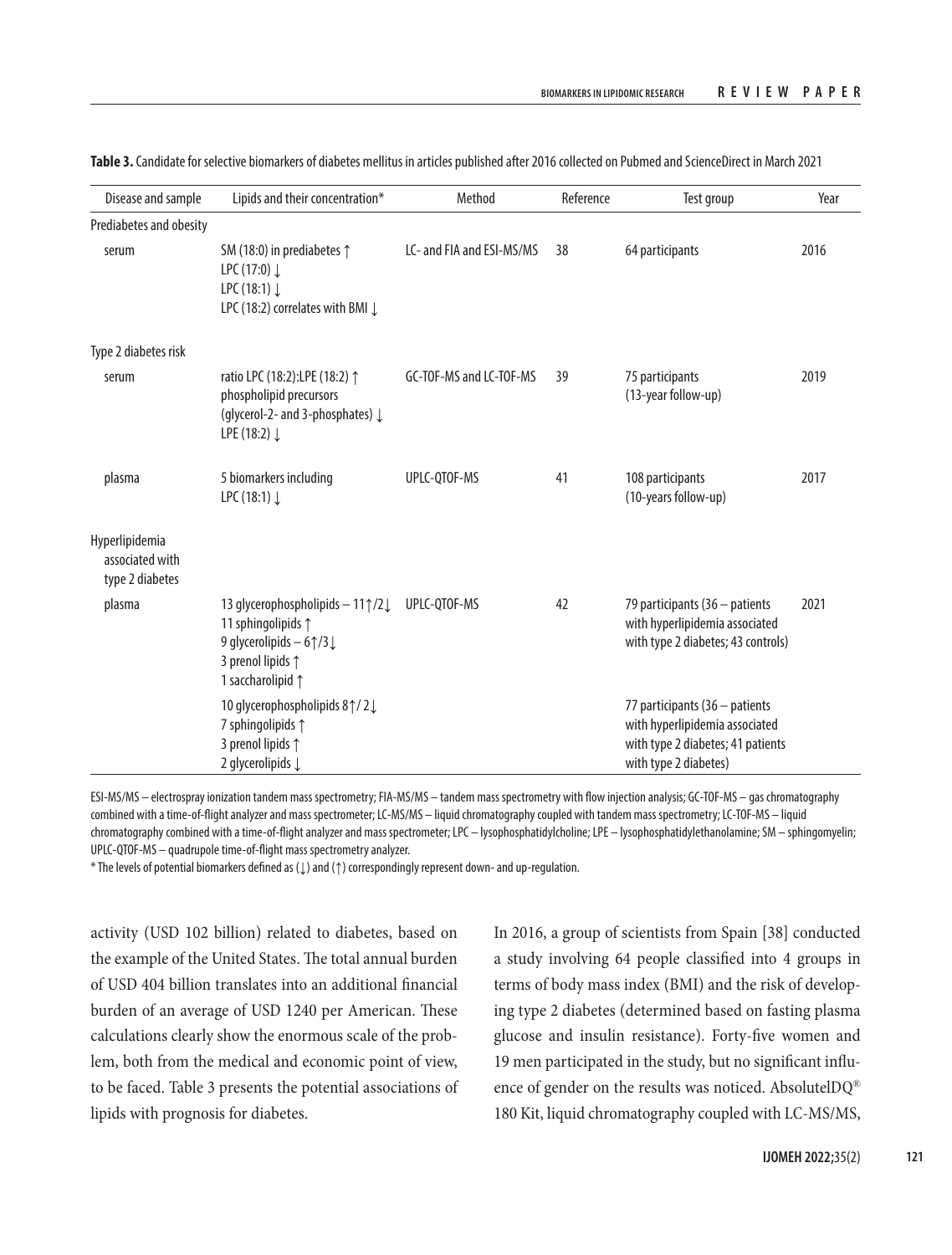| Disease and sample                                   | Lipids and their concentration*                                                                                                                       | Method                    | Reference | Test group                                                                                                                     | Year |
|------------------------------------------------------|-------------------------------------------------------------------------------------------------------------------------------------------------------|---------------------------|-----------|--------------------------------------------------------------------------------------------------------------------------------|------|
| Prediabetes and obesity                              |                                                                                                                                                       |                           |           |                                                                                                                                |      |
| serum                                                | SM (18:0) in prediabetes $\uparrow$<br>LPC (17:0) $\downarrow$<br>LPC (18:1) $\downarrow$<br>LPC (18:2) correlates with BMI $\downarrow$              | LC- and FIA and ESI-MS/MS | 38        | 64 participants                                                                                                                | 2016 |
| Type 2 diabetes risk                                 |                                                                                                                                                       |                           |           |                                                                                                                                |      |
| serum                                                | ratio LPC (18:2):LPE (18:2) 1<br>phospholipid precursors<br>(glycerol-2- and 3-phosphates) ↓<br>LPE (18:2) $\downarrow$                               | GC-TOF-MS and LC-TOF-MS   | 39        | 75 participants<br>(13-year follow-up)                                                                                         | 2019 |
| plasma                                               | 5 biomarkers including<br>LPC (18:1) $\downarrow$                                                                                                     | UPLC-QTOF-MS              | 41        | 108 participants<br>(10-years follow-up)                                                                                       | 2017 |
| Hyperlipidemia<br>associated with<br>type 2 diabetes |                                                                                                                                                       |                           |           |                                                                                                                                |      |
| plasma                                               | 13 glycerophospholipids - 11 1/2 L<br>11 sphingolipids 1<br>9 glycerolipids $-6$ $\uparrow$ /3 $\downarrow$<br>3 prenol lipids 1<br>1 saccharolipid 1 | UPLC-QTOF-MS              | 42        | 79 participants (36 - patients<br>with hyperlipidemia associated<br>with type 2 diabetes; 43 controls)                         | 2021 |
|                                                      | 10 glycerophospholipids 8↑/2↓<br>7 sphingolipids 1<br>3 prenol lipids 1<br>2 glycerolipids $\downarrow$                                               |                           |           | 77 participants (36 - patients<br>with hyperlipidemia associated<br>with type 2 diabetes; 41 patients<br>with type 2 diabetes) |      |

**Table 3.** Candidate for selective biomarkers of diabetes mellitus in articles published after 2016 collected on Pubmed and ScienceDirect in March 2021

ESI-MS/MS – electrospray ionization tandem mass spectrometry; FIA-MS/MS – tandem mass spectrometry with flow injection analysis; GC-TOF-MS – gas chromatography combined with a time-of-flight analyzer and mass spectrometer; LC-MS/MS – liquid chromatography coupled with tandem mass spectrometry; LC-TOF-MS – liquid chromatography combined with a time-of-flight analyzer and mass spectrometer; LPC – lysophosphatidylcholine; LPE – lysophosphatidylethanolamine; SM – sphingomyelin; UPLC-QTOF-MS – quadrupole time-of-flight mass spectrometry analyzer.

\* The levels of potential biomarkers defined as (↓) and (↑) correspondingly represent down- and up-regulation.

activity (USD 102 billion) related to diabetes, based on the example of the United States. The total annual burden of USD 404 billion translates into an additional financial burden of an average of USD 1240 per American. These calculations clearly show the enormous scale of the problem, both from the medical and economic point of view, to be faced. Table 3 presents the potential associations of lipids with prognosis for diabetes.

In 2016, a group of scientists from Spain [38] conducted a study involving 64 people classified into 4 groups in terms of body mass index (BMI) and the risk of developing type 2 diabetes (determined based on fasting plasma glucose and insulin resistance). Forty-five women and 19 men participated in the study, but no significant influence of gender on the results was noticed. AbsolutelDQ® 180 Kit, liquid chromatography coupled with LC-MS/MS,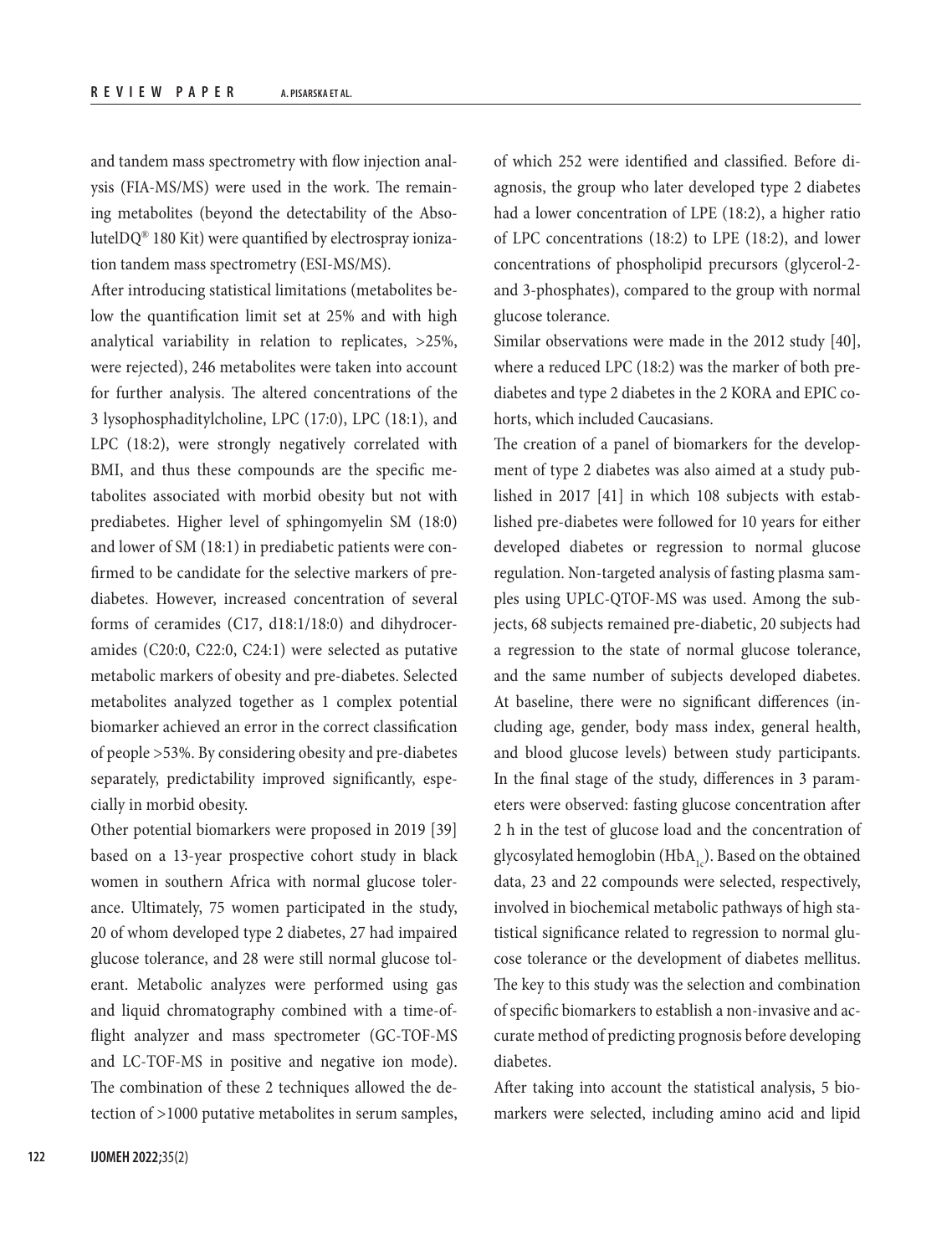and tandem mass spectrometry with flow injection analysis (FIA-MS/MS) were used in the work. The remaining metabolites (beyond the detectability of the AbsolutelDQ® 180 Kit) were quantified by electrospray ionization tandem mass spectrometry (ESI-MS/MS).

After introducing statistical limitations (metabolites below the quantification limit set at 25% and with high analytical variability in relation to replicates, >25%, were rejected), 246 metabolites were taken into account for further analysis. The altered concentrations of the 3 lysophosphaditylcholine, LPC (17:0), LPC (18:1), and LPC (18:2), were strongly negatively correlated with BMI, and thus these compounds are the specific metabolites associated with morbid obesity but not with prediabetes. Higher level of sphingomyelin SM (18:0) and lower of SM (18:1) in prediabetic patients were confirmed to be candidate for the selective markers of prediabetes. However, increased concentration of several forms of ceramides (C17, d18:1/18:0) and dihydroceramides (C20:0, C22:0, C24:1) were selected as putative metabolic markers of obesity and pre-diabetes. Selected metabolites analyzed together as 1 complex potential biomarker achieved an error in the correct classification of people >53%. By considering obesity and pre-diabetes separately, predictability improved significantly, especially in morbid obesity.

Other potential biomarkers were proposed in 2019 [39] based on a 13-year prospective cohort study in black women in southern Africa with normal glucose tolerance. Ultimately, 75 women participated in the study, 20 of whom developed type 2 diabetes, 27 had impaired glucose tolerance, and 28 were still normal glucose tolerant. Metabolic analyzes were performed using gas and liquid chromatography combined with a time-offlight analyzer and mass spectrometer (GC-TOF-MS and LC-TOF-MS in positive and negative ion mode). The combination of these 2 techniques allowed the detection of >1000 putative metabolites in serum samples, of which 252 were identified and classified. Before diagnosis, the group who later developed type 2 diabetes had a lower concentration of LPE (18:2), a higher ratio of LPC concentrations (18:2) to LPE (18:2), and lower concentrations of phospholipid precursors (glycerol-2 and 3-phosphates), compared to the group with normal glucose tolerance.

Similar observations were made in the 2012 study [40], where a reduced LPC (18:2) was the marker of both prediabetes and type 2 diabetes in the 2 KORA and EPIC cohorts, which included Caucasians.

The creation of a panel of biomarkers for the development of type 2 diabetes was also aimed at a study published in 2017 [41] in which 108 subjects with established pre-diabetes were followed for 10 years for either developed diabetes or regression to normal glucose regulation. Non-targeted analysis of fasting plasma samples using UPLC-QTOF-MS was used. Among the subjects, 68 subjects remained pre-diabetic, 20 subjects had a regression to the state of normal glucose tolerance, and the same number of subjects developed diabetes. At baseline, there were no significant differences (including age, gender, body mass index, general health, and blood glucose levels) between study participants. In the final stage of the study, differences in 3 parameters were observed: fasting glucose concentration after 2 h in the test of glucose load and the concentration of glycosylated hemoglobin (HbA<sub>1c</sub>). Based on the obtained data, 23 and 22 compounds were selected, respectively, involved in biochemical metabolic pathways of high statistical significance related to regression to normal glucose tolerance or the development of diabetes mellitus. The key to this study was the selection and combination of specific biomarkers to establish a non-invasive and accurate method of predicting prognosis before developing diabetes.

After taking into account the statistical analysis, 5 biomarkers were selected, including amino acid and lipid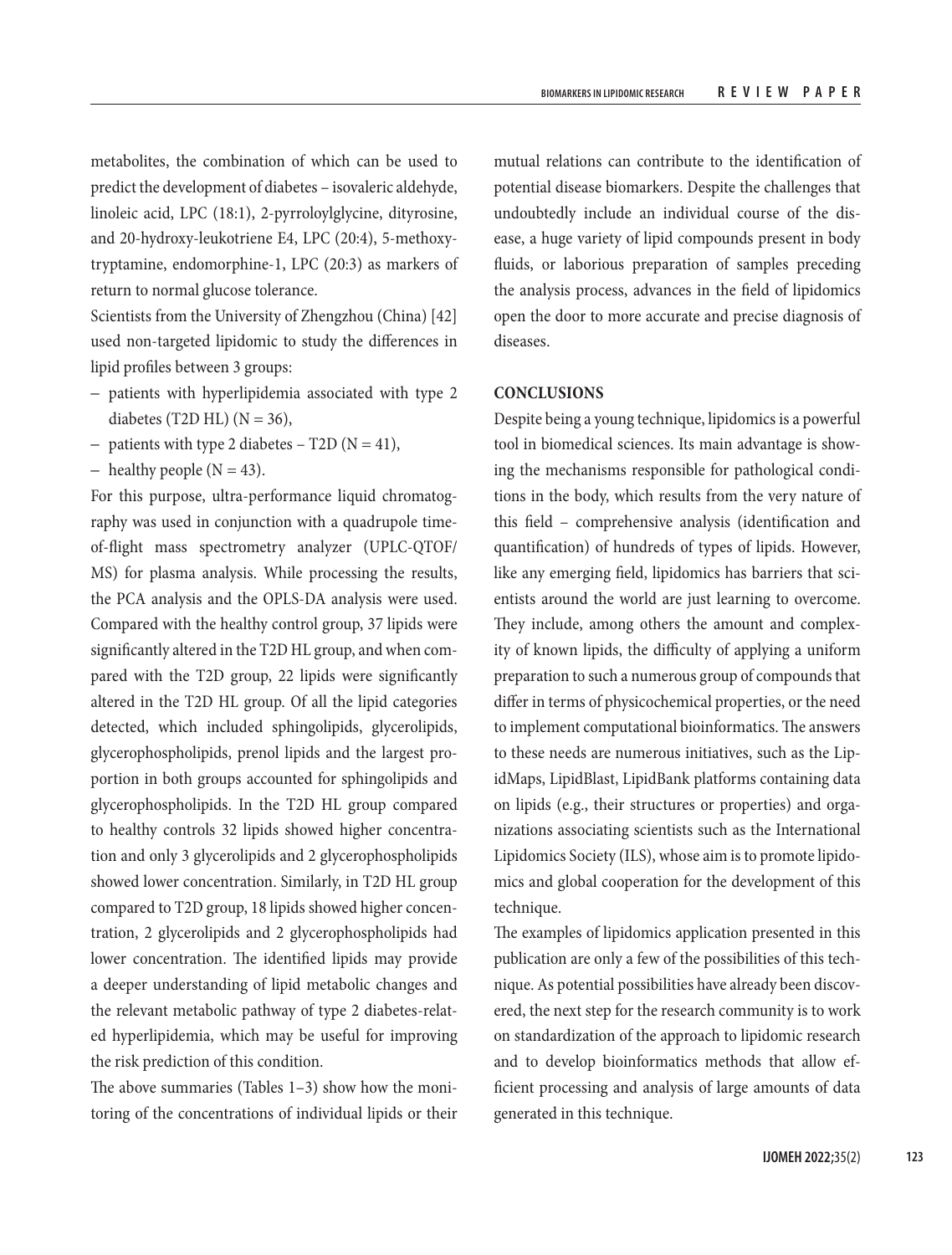metabolites, the combination of which can be used to predict the development of diabetes – isovaleric aldehyde, linoleic acid, LPC (18:1), 2-pyrroloylglycine, dityrosine, and 20-hydroxy-leukotriene E4, LPC (20:4), 5-methoxytryptamine, endomorphine-1, LPC (20:3) as markers of return to normal glucose tolerance.

Scientists from the University of Zhengzhou (China) [42] used non-targeted lipidomic to study the differences in lipid profiles between 3 groups:

- patients with hyperlipidemia associated with type 2 diabetes (T2D HL)  $(N = 36)$ ,
- patients with type 2 diabetes T2D ( $N = 41$ ),
- healthy people ( $N = 43$ ).

For this purpose, ultra-performance liquid chromatography was used in conjunction with a quadrupole timeof-flight mass spectrometry analyzer (UPLC-QTOF/ MS) for plasma analysis. While processing the results, the PCA analysis and the OPLS-DA analysis were used. Compared with the healthy control group, 37 lipids were significantly altered in the T2D HL group, and when compared with the T2D group, 22 lipids were significantly altered in the T2D HL group. Of all the lipid categories detected, which included sphingolipids, glycerolipids, glycerophospholipids, prenol lipids and the largest proportion in both groups accounted for sphingolipids and glycerophospholipids. In the T2D HL group compared to healthy controls 32 lipids showed higher concentration and only 3 glycerolipids and 2 glycerophospholipids showed lower concentration. Similarly, in T2D HL group compared to T2D group, 18 lipids showed higher concentration, 2 glycerolipids and 2 glycerophospholipids had lower concentration. The identified lipids may provide a deeper understanding of lipid metabolic changes and the relevant metabolic pathway of type 2 diabetes-related hyperlipidemia, which may be useful for improving the risk prediction of this condition.

The above summaries (Tables 1–3) show how the monitoring of the concentrations of individual lipids or their mutual relations can contribute to the identification of potential disease biomarkers. Despite the challenges that undoubtedly include an individual course of the disease, a huge variety of lipid compounds present in body fluids, or laborious preparation of samples preceding the analysis process, advances in the field of lipidomics open the door to more accurate and precise diagnosis of diseases.

# **CONCLUSIONS**

Despite being a young technique, lipidomics is a powerful tool in biomedical sciences. Its main advantage is showing the mechanisms responsible for pathological conditions in the body, which results from the very nature of this field – comprehensive analysis (identification and quantification) of hundreds of types of lipids. However, like any emerging field, lipidomics has barriers that scientists around the world are just learning to overcome. They include, among others the amount and complexity of known lipids, the difficulty of applying a uniform preparation to such a numerous group of compounds that differ in terms of physicochemical properties, or the need to implement computational bioinformatics. The answers to these needs are numerous initiatives, such as the LipidMaps, LipidBlast, LipidBank platforms containing data on lipids (e.g., their structures or properties) and organizations associating scientists such as the International Lipidomics Society (ILS), whose aim is to promote lipidomics and global cooperation for the development of this technique.

The examples of lipidomics application presented in this publication are only a few of the possibilities of this technique. As potential possibilities have already been discovered, the next step for the research community is to work on standardization of the approach to lipidomic research and to develop bioinformatics methods that allow efficient processing and analysis of large amounts of data generated in this technique.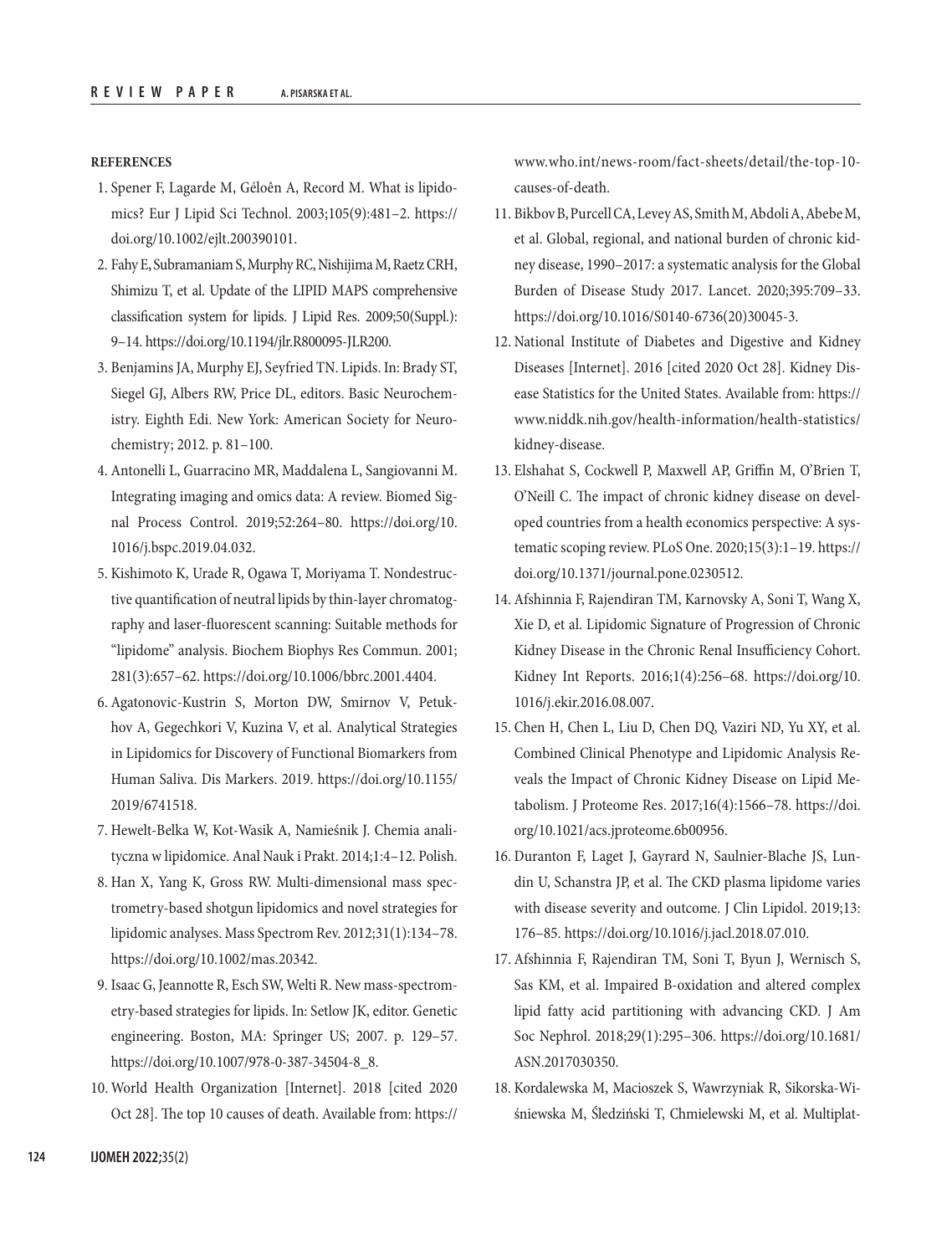#### **REFERENCES**

- 1. Spener F, Lagarde M, Géloên A, Record M. What is lipidomics? Eur J Lipid Sci Technol. 2003;105(9):481–2. [https://](https://doi.org/10.1002/ejlt.200390101) [doi.org/10.1002/ejlt.200390101.](https://doi.org/10.1002/ejlt.200390101)
- 2. Fahy E, Subramaniam S, Murphy RC, Nishijima M, Raetz CRH, Shimizu T, et al. Update of the LIPID MAPS comprehensive classification system for lipids. J Lipid Res. 2009;50(Suppl.): 9–14. [https://doi.org/10.1194/jlr.R800095-JLR200.](https://doi.org/10.1194/jlr.R800095-JLR200)
- 3. Benjamins JA, Murphy EJ, Seyfried TN. Lipids. In: Brady ST, Siegel GJ, Albers RW, Price DL, editors. Basic Neurochemistry. Eighth Edi. New York: American Society for Neurochemistry; 2012. p. 81–100.
- 4. Antonelli L, Guarracino MR, Maddalena L, Sangiovanni M. Integrating imaging and omics data: A review. Biomed Signal Process Control. 2019;52:264–80. [https://doi.org/10.](https://doi.org/10.1016/j.bspc.2019.04.032) [1016/j.bspc.2019.04.032.](https://doi.org/10.1016/j.bspc.2019.04.032)
- 5. Kishimoto K, Urade R, Ogawa T, Moriyama T. Nondestructive quantification of neutral lipids by thin-layer chromatography and laser-fluorescent scanning: Suitable methods for "lipidome" analysis. Biochem Biophys Res Commun. 2001; 281(3):657–62.<https://doi.org/10.1006/bbrc.2001.4404>.
- 6. Agatonovic-Kustrin S, Morton DW, Smirnov V, Petukhov A, Gegechkori V, Kuzina V, et al. Analytical Strategies in Lipidomics for Discovery of Functional Biomarkers from Human Saliva. Dis Markers. 2019. [https://doi.org/10.1155/](https://doi.org/10.1155/2019/6741518) [2019/6741518](https://doi.org/10.1155/2019/6741518).
- 7. Hewelt-Belka W, Kot-Wasik A, Namieśnik J. Chemia analityczna w lipidomice. Anal Nauk i Prakt. 2014;1:4–12. Polish.
- 8. Han X, Yang K, Gross RW. Multi-dimensional mass spectrometry-based shotgun lipidomics and novel strategies for lipidomic analyses. Mass Spectrom Rev. 2012;31(1):134–78. [https://doi.org/10.1002/mas.20342.](https://doi.org/10.1002/mas.20342)
- 9. Isaac G, Jeannotte R, Esch SW, Welti R. New mass-spectrometry-based strategies for lipids. In: Setlow JK, editor. Genetic engineering. Boston, MA: Springer US; 2007. p. 129–57. [https://doi.org/10.1007/978-0-387-34504-8\\_8.](https://doi.org/10.1007/978-0-387-34504-8_8)
- 10. World Health Organization [Internet]. 2018 [cited 2020 Oct 28]. The top 10 causes of death. Available from: [https://](https://www.who.int/news-room/fact-sheets/detail/the-top-10-causes-of-death)

[www.who.int/news-room/fact-sheets/detail/the-top-10](https://www.who.int/news-room/fact-sheets/detail/the-top-10-causes-of-death) [causes-of-death.](https://www.who.int/news-room/fact-sheets/detail/the-top-10-causes-of-death)

- 11. Bikbov B, Purcell CA, Levey AS, Smith M, Abdoli A, Abebe M, et al. Global, regional, and national burden of chronic kidney disease, 1990–2017: a systematic analysis for the Global Burden of Disease Study 2017. Lancet. 2020;395:709–33. [https://doi.org/10.1016/S0140-6736\(20\)30045-3.](https://doi.org/10.1016/S0140-6736(20)30045-3)
- 12. National Institute of Diabetes and Digestive and Kidney Diseases [Internet]. 2016 [cited 2020 Oct 28]. Kidney Disease Statistics for the United States. Available from: [https://](https://www.niddk.nih.gov/health-information/health-statistics/kidney-disease) [www.niddk.nih.gov/health-information/health-statistics/](https://www.niddk.nih.gov/health-information/health-statistics/kidney-disease) [kidney-disease](https://www.niddk.nih.gov/health-information/health-statistics/kidney-disease).
- 13. Elshahat S, Cockwell P, Maxwell AP, Griffin M, O'Brien T, O'Neill C. The impact of chronic kidney disease on developed countries from a health economics perspective: A systematic scoping review. PLoS One. 2020;15(3):1–19. [https://](https://doi.org/10.1371/journal.pone.0230512) [doi.org/10.1371/journal.pone.0230512](https://doi.org/10.1371/journal.pone.0230512).
- 14. Afshinnia F, Rajendiran TM, Karnovsky A, Soni T, Wang X, Xie D, et al. Lipidomic Signature of Progression of Chronic Kidney Disease in the Chronic Renal Insufficiency Cohort. Kidney Int Reports. 2016;1(4):256–68. [https://doi.org/10.](https://doi.org/10.1016/j.ekir.2016.08.007) [1016/j.ekir.2016.08.007](https://doi.org/10.1016/j.ekir.2016.08.007).
- 15. Chen H, Chen L, Liu D, Chen DQ, Vaziri ND, Yu XY, et al. Combined Clinical Phenotype and Lipidomic Analysis Reveals the Impact of Chronic Kidney Disease on Lipid Metabolism. J Proteome Res. 2017;16(4):1566–78. [https://doi.](https://doi.org/10.1021/acs.jproteome.6b00956) [org/10.1021/acs.jproteome.6b00956](https://doi.org/10.1021/acs.jproteome.6b00956).
- 16. Duranton F, Laget J, Gayrard N, Saulnier-Blache JS, Lundin U, Schanstra JP, et al. The CKD plasma lipidome varies with disease severity and outcome. J Clin Lipidol. 2019;13: 176–85.<https://doi.org/10.1016/j.jacl.2018.07.010>.
- 17. Afshinnia F, Rajendiran TM, Soni T, Byun J, Wernisch S, Sas KM, et al. Impaired B-oxidation and altered complex lipid fatty acid partitioning with advancing CKD. J Am Soc Nephrol. 2018;29(1):295–306. [https://doi.org/10.1681/](https://doi.org/10.1681/ASN.2017030350) [ASN.2017030350](https://doi.org/10.1681/ASN.2017030350).
- 18. Kordalewska M, Macioszek S, Wawrzyniak R, Sikorska-Wiśniewska M, Śledziński T, Chmielewski M, et al. Multiplat-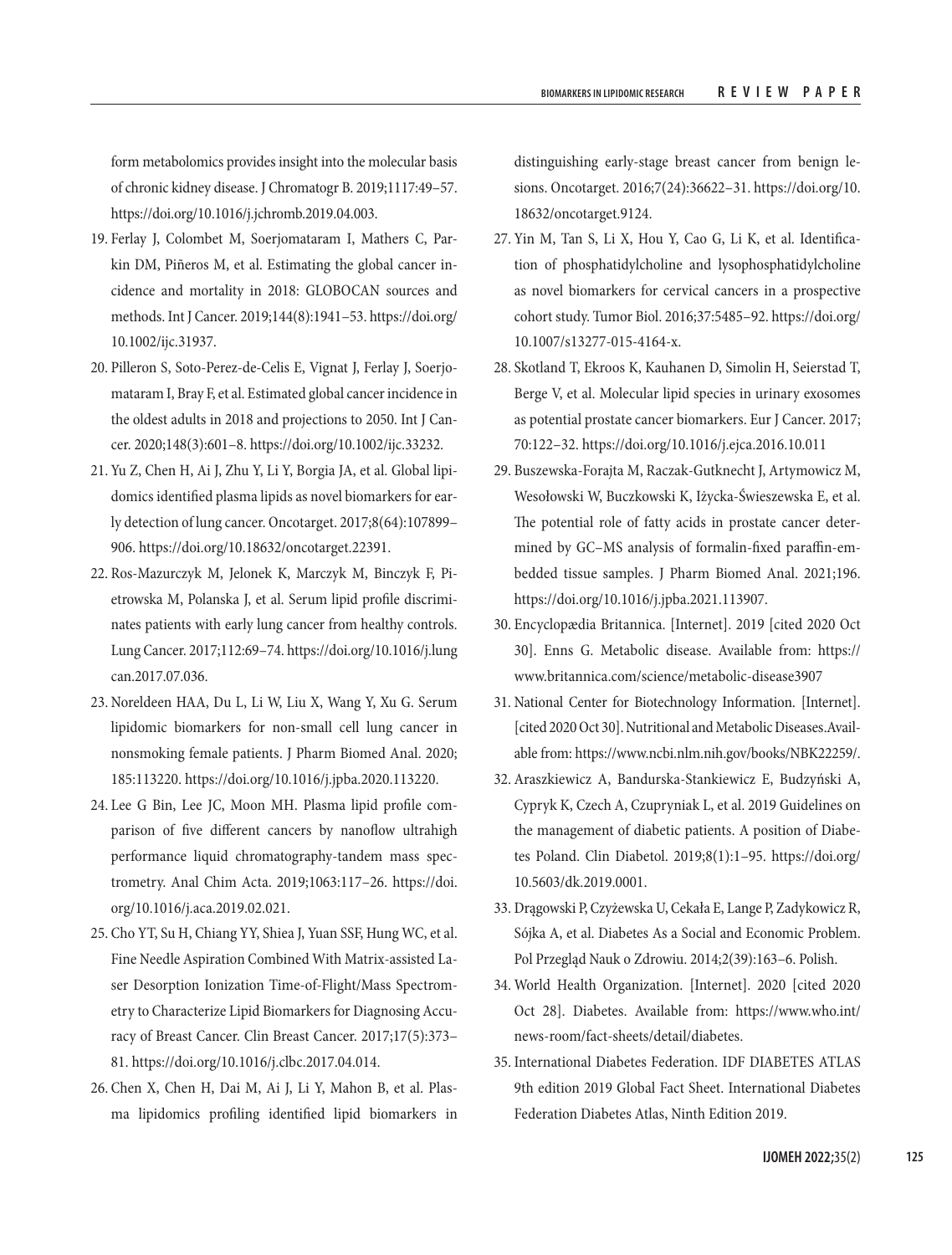form metabolomics provides insight into the molecular basis of chronic kidney disease. J Chromatogr B. 2019;1117:49–57. <https://doi.org/10.1016/j.jchromb.2019.04.003>.

- 19. Ferlay J, Colombet M, Soerjomataram I, Mathers C, Parkin DM, Piñeros M, et al. Estimating the global cancer incidence and mortality in 2018: GLOBOCAN sources and methods. Int J Cancer. 2019;144(8):1941–53. [https://doi.org/](https://doi.org/10.1002/ijc.31937) [10.1002/ijc.31937](https://doi.org/10.1002/ijc.31937).
- 20. Pilleron S, Soto‐Perez‐de‐Celis E, Vignat J, Ferlay J, Soerjomataram I, Bray F, et al. Estimated global cancer incidence in the oldest adults in 2018 and projections to 2050. Int J Cancer. 2020;148(3):601–8.<https://doi.org/10.1002/ijc.33232>.
- 21. Yu Z, Chen H, Ai J, Zhu Y, Li Y, Borgia JA, et al. Global lipidomics identified plasma lipids as novel biomarkers for early detection of lung cancer. Oncotarget. 2017;8(64):107899– 906. [https://doi.org/10.18632/oncotarget.22391.](https://doi.org/10.18632/oncotarget.22391)
- 22. Ros-Mazurczyk M, Jelonek K, Marczyk M, Binczyk F, Pietrowska M, Polanska J, et al. Serum lipid profile discriminates patients with early lung cancer from healthy controls. Lung Cancer. 2017;112:69–74. [https://doi.org/10.1016/j.lung](https://doi.org/10.1016/j.lungcan.2017.07.036) [can.2017.07.036](https://doi.org/10.1016/j.lungcan.2017.07.036).
- 23. Noreldeen HAA, Du L, Li W, Liu X, Wang Y, Xu G. Serum lipidomic biomarkers for non-small cell lung cancer in nonsmoking female patients. J Pharm Biomed Anal. 2020; 185:113220. <https://doi.org/10.1016/j.jpba.2020.113220>.
- 24. Lee G Bin, Lee JC, Moon MH. Plasma lipid profile comparison of five different cancers by nanoflow ultrahigh performance liquid chromatography-tandem mass spectrometry. Anal Chim Acta. 2019;1063:117–26. [https://doi.](https://doi.org/10.1016/j.aca.2019.02.021) [org/10.1016/j.aca.2019.02.021](https://doi.org/10.1016/j.aca.2019.02.021).
- 25. Cho YT, Su H, Chiang YY, Shiea J, Yuan SSF, Hung WC, et al. Fine Needle Aspiration Combined With Matrix-assisted Laser Desorption Ionization Time-of-Flight/Mass Spectrometry to Characterize Lipid Biomarkers for Diagnosing Accuracy of Breast Cancer. Clin Breast Cancer. 2017;17(5):373– 81. [https://doi.org/10.1016/j.clbc.2017.04.014.](https://doi.org/10.1016/j.clbc.2017.04.014)
- 26. Chen X, Chen H, Dai M, Ai J, Li Y, Mahon B, et al. Plasma lipidomics profiling identified lipid biomarkers in

distinguishing early-stage breast cancer from benign lesions. Oncotarget. 2016;7(24):36622–31. [https://doi.org/10.](https://doi.org/10.18632/oncotarget.9124) [18632/oncotarget.9124.](https://doi.org/10.18632/oncotarget.9124)

- 27. Yin M, Tan S, Li X, Hou Y, Cao G, Li K, et al. Identification of phosphatidylcholine and lysophosphatidylcholine as novel biomarkers for cervical cancers in a prospective cohort study. Tumor Biol. 2016;37:5485–92. [https://doi.org/](https://doi.org/10.1007/s13277-015-4164-x) [10.1007/s13277-015-4164-x](https://doi.org/10.1007/s13277-015-4164-x).
- 28. Skotland T, Ekroos K, Kauhanen D, Simolin H, Seierstad T, Berge V, et al. Molecular lipid species in urinary exosomes as potential prostate cancer biomarkers. Eur J Cancer. 2017; 70:122–32. https://doi.org/10.1016/j.ejca.2016.10.011
- 29. Buszewska-Forajta M, Raczak-Gutknecht J, Artymowicz M, Wesołowski W, Buczkowski K, Iżycka-Świeszewska E, et al. The potential role of fatty acids in prostate cancer determined by GC–MS analysis of formalin-fixed paraffin-embedded tissue samples. J Pharm Biomed Anal. 2021;196. <https://doi.org/10.1016/j.jpba.2021.113907>.
- 30. Encyclopædia Britannica. [Internet]. 2019 [cited 2020 Oct 30]. Enns G. Metabolic disease. Available from: https:// www.britannica.com/science/metabolic-disease3907
- 31. National Center for Biotechnology Information. [Internet]. [cited 2020 Oct 30]. Nutritional and Metabolic Diseases.Available from:<https://www.ncbi.nlm.nih.gov/books/NBK22259/>.
- 32. Araszkiewicz A, Bandurska-Stankiewicz E, Budzyński A, Cypryk K, Czech A, Czupryniak L, et al. 2019 Guidelines on the management of diabetic patients. A position of Diabetes Poland. Clin Diabetol. 2019;8(1):1–95. [https://doi.org/](https://doi.org/10.5603/dk.2019.0001) [10.5603/dk.2019.0001.](https://doi.org/10.5603/dk.2019.0001)
- 33. Drągowski P, Czyżewska U, Cekała E, Lange P, Zadykowicz R, Sójka A, et al. Diabetes As a Social and Economic Problem. Pol Przegląd Nauk o Zdrowiu. 2014;2(39):163–6. Polish.
- 34. World Health Organization. [Internet]. 2020 [cited 2020 Oct 28]. Diabetes. Available from: [https://www.who.int/](https://www.who.int/news-room/fact-sheets/detail/diabetes) [news-room/fact-sheets/detail/diabetes.](https://www.who.int/news-room/fact-sheets/detail/diabetes)
- 35. International Diabetes Federation. IDF DIABETES ATLAS 9th edition 2019 Global Fact Sheet. International Diabetes Federation Diabetes Atlas, Ninth Edition 2019.